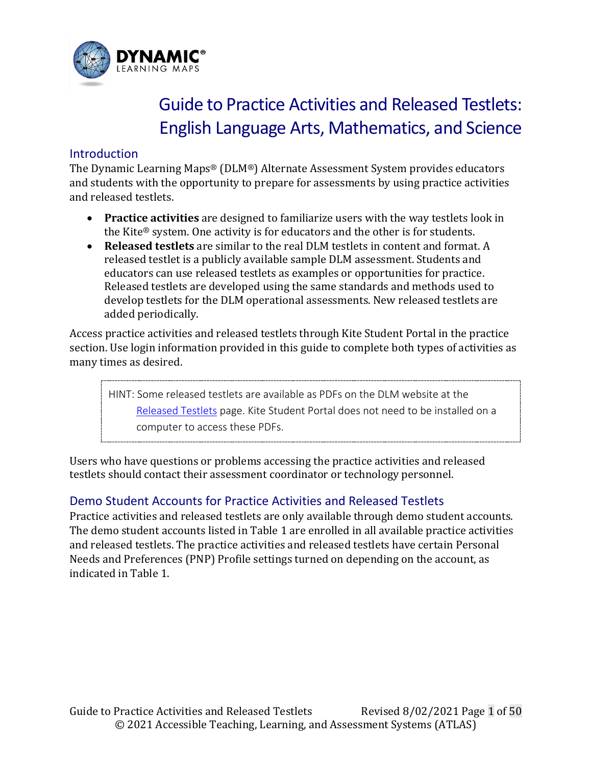

# Guide to Practice Activities and Released Testlets: English Language Arts, Mathematics, and Science

### **Introduction**

The Dynamic Learning Maps® (DLM®) Alternate Assessment System provides educators and students with the opportunity to prepare for assessments by using practice activities and released testlets.

- **Practice activities** are designed to familiarize users with the way testlets look in the Kite® system. One activity is for educators and the other is for students.
- **Released testlets** are similar to the real DLM testlets in content and format. A released testlet is a publicly available sample DLM assessment. Students and educators can use released testlets as examples or opportunities for practice. Released testlets are developed using the same standards and methods used to develop testlets for the DLM operational assessments. New released testlets are added periodically.

Access practice activities and released testlets through Kite Student Portal in the practice section. Use login information provided in this guide to complete both types of activities as many times as desired.

HINT: Some released testlets are available as PDFs on the DLM website at the [Released Testlets](https://dynamiclearningmaps.org/released-testlets) page. Kite Student Portal does not need to be installed on a computer to access these PDFs.

Users who have questions or problems accessing the practice activities and released testlets should contact their assessment coordinator or technology personnel.

# Demo Student Accounts for Practice Activities and Released Testlets

Practice activities and released testlets are only available through demo student accounts. The demo student accounts listed in [Table 1](#page-1-0) are enrolled in all available practice activities and released testlets. The practice activities and released testlets have certain Personal Needs and Preferences (PNP) Profile settings turned on depending on the account, as indicated in [Table 1.](#page-1-0)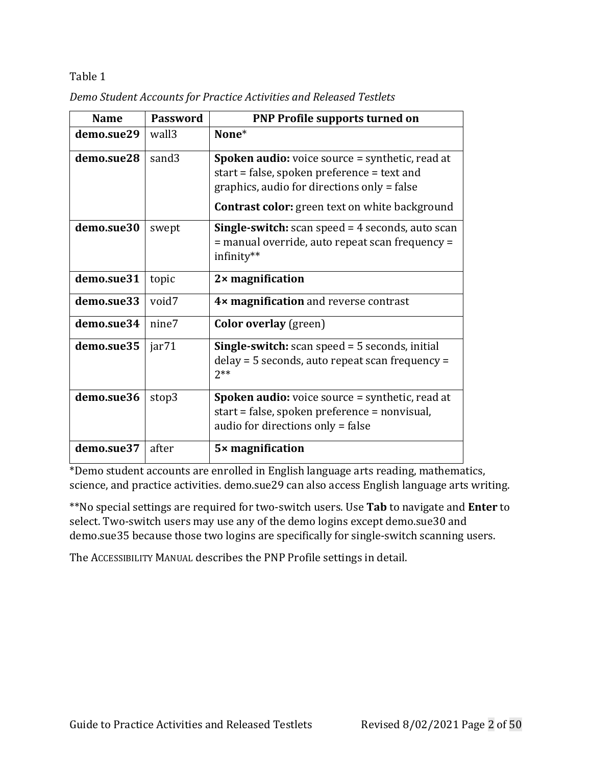| <b>Name</b> | <b>Password</b>   | <b>PNP Profile supports turned on</b>                                                                                                                                                                         |
|-------------|-------------------|---------------------------------------------------------------------------------------------------------------------------------------------------------------------------------------------------------------|
| demo.sue29  | wall3             | None*                                                                                                                                                                                                         |
| demo.sue28  | sand3             | <b>Spoken audio:</b> voice source = synthetic, read at<br>start = false, spoken preference = text and<br>graphics, audio for directions only = false<br><b>Contrast color:</b> green text on white background |
| demo.sue30  | swept             | <b>Single-switch:</b> scan speed $=$ 4 seconds, auto scan<br>= manual override, auto repeat scan frequency =<br>infinity**                                                                                    |
| demo.sue31  | topic             | $2 \times$ magnification                                                                                                                                                                                      |
| demo.sue33  | void7             | 4× magnification and reverse contrast                                                                                                                                                                         |
| demo.sue34  | nine7             | <b>Color overlay</b> (green)                                                                                                                                                                                  |
| demo.sue35  | jar <sub>71</sub> | <b>Single-switch:</b> scan speed $=$ 5 seconds, initial<br>delay = 5 seconds, auto repeat scan frequency =<br>$2**$                                                                                           |
| demo.sue36  | stop3             | <b>Spoken audio:</b> voice source = synthetic, read at<br>start = false, spoken preference = nonvisual,<br>audio for directions only = false                                                                  |
| demo.sue37  | after             | $5\times$ magnification                                                                                                                                                                                       |

<span id="page-1-0"></span>*Demo Student Accounts for Practice Activities and Released Testlets*

\*Demo student accounts are enrolled in English language arts reading, mathematics, science, and practice activities. demo.sue29 can also access English language arts writing.

\*\*No special settings are required for two-switch users. Use **Tab** to navigate and **Enter** to select. Two-switch users may use any of the demo logins except demo.sue30 and demo.sue35 because those two logins are specifically for single-switch scanning users.

The ACCESSIBILITY MANUAL describes the PNP Profile settings in detail.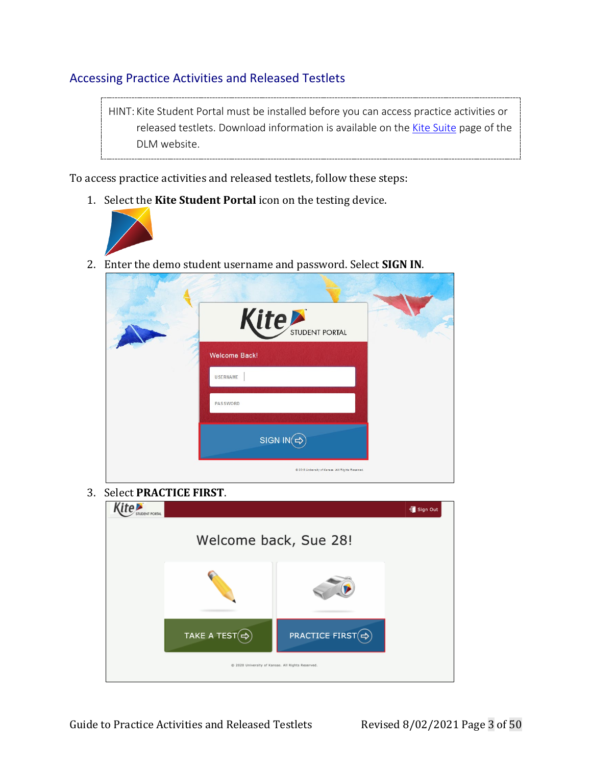# Accessing Practice Activities and Released Testlets

HINT: Kite Student Portal must be installed before you can access practice activities or released testlets. Download information is available on th[e Kite Suite](https://dynamiclearningmaps.org/requirements) page of the DLM website.

To access practice activities and released testlets, follow these steps:

1. Select the **Kite Student Portal** icon on the testing device.



2. Enter the demo student username and password. Select **SIGN IN**.

| Kite STUDENT PORTAL                               |  |
|---------------------------------------------------|--|
| <b>Welcome Back!</b>                              |  |
| <b>USERNAME</b>                                   |  |
| <b>PASSWORD</b>                                   |  |
|                                                   |  |
| SIGN IN $\bigcirc$                                |  |
| C 2018 University of Kansas. All Rights Reserved. |  |

3. Select **PRACTICE FIRST**.

| <b>ENT PORTAL</b> |                                                   |                                                | <■ Sign Out |
|-------------------|---------------------------------------------------|------------------------------------------------|-------------|
|                   | Welcome back, Sue 28!                             |                                                |             |
|                   |                                                   |                                                |             |
|                   | TAKE A TEST $\Rightarrow$                         | <b>PRACTICE FIRST</b> $\left(\bigoplus\right)$ |             |
|                   | @ 2020 University of Kansas. All Rights Reserved. |                                                |             |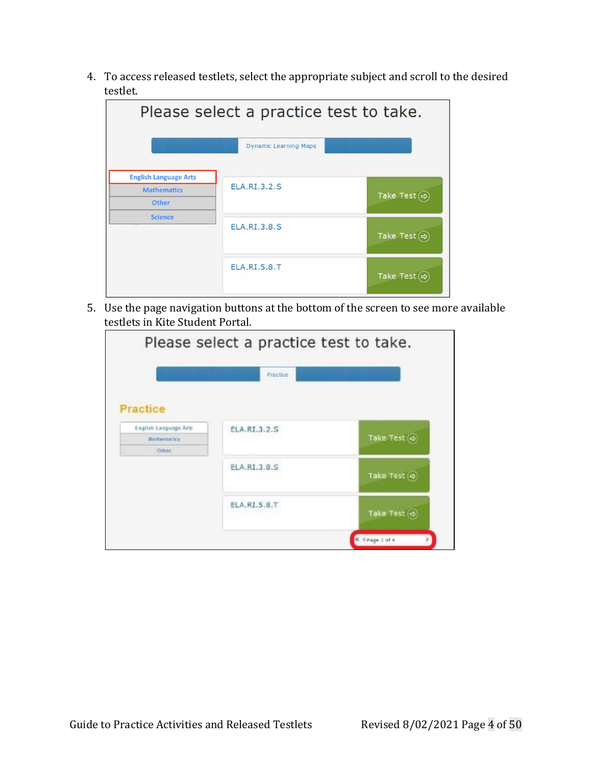4. To access released testlets, select the appropriate subject and scroll to the desired testlet.

| Please select a practice test to take.                      |                              |                             |  |
|-------------------------------------------------------------|------------------------------|-----------------------------|--|
|                                                             | <b>Dynamic Learning Maps</b> |                             |  |
| <b>English Language Arts</b><br><b>Mathematics</b><br>Other | <b>ELA.RI.3.2.S</b>          | Take Test $\textcircled{e}$ |  |
| <b>Science</b>                                              | <b>ELA.RI.3.8.S</b>          | Take Test $\textcircled{e}$ |  |
|                                                             | <b>ELA.RI.5.8.T</b>          | Take Test $\textcircled{e}$ |  |

5. Use the page navigation buttons at the bottom of the screen to see more available testlets in Kite Student Portal.

| Practice     |                               |
|--------------|-------------------------------|
|              |                               |
|              |                               |
|              |                               |
| ELA.RI.3.2.S |                               |
|              | Take Test (@)                 |
|              |                               |
|              | Take Test (c)                 |
|              | Take Test (c)                 |
|              | ELA, RI.3.8.S<br>ELA.RI.5.8.T |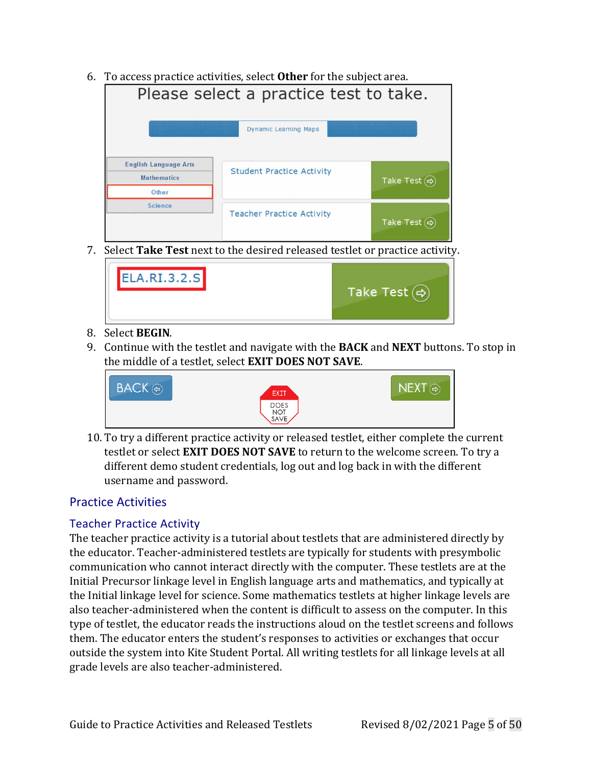6. To access practice activities, select **Other** for the subject area.

| Please select a practice test to take.                      |                                  |                                   |  |  |
|-------------------------------------------------------------|----------------------------------|-----------------------------------|--|--|
|                                                             | <b>Dynamic Learning Maps</b>     |                                   |  |  |
| <b>English Language Arts</b><br><b>Mathematics</b><br>Other | <b>Student Practice Activity</b> | Take Test $\left(\rightleftarrow$ |  |  |
| <b>Science</b>                                              | <b>Teacher Practice Activity</b> | Take Test $\Leftrightarrow$       |  |  |

7. Select **Take Test** next to the desired released testlet or practice activity.

| ELA.RI.3.2.S | Take Test $\left(\rightuplus\right)$ |
|--------------|--------------------------------------|
|--------------|--------------------------------------|

### 8. Select **BEGIN**.

9. Continue with the testlet and navigate with the **BACK** and **NEXT** buttons. To stop in the middle of a testlet, select **EXIT DOES NOT SAVE**.



10. To try a different practice activity or released testlet, either complete the current testlet or select **EXIT DOES NOT SAVE** to return to the welcome screen. To try a different demo student credentials, log out and log back in with the different username and password.

### Practice Activities

### Teacher Practice Activity

The teacher practice activity is a tutorial about testlets that are administered directly by the educator. Teacher-administered testlets are typically for students with presymbolic communication who cannot interact directly with the computer. These testlets are at the Initial Precursor linkage level in English language arts and mathematics, and typically at the Initial linkage level for science. Some mathematics testlets at higher linkage levels are also teacher-administered when the content is difficult to assess on the computer. In this type of testlet, the educator reads the instructions aloud on the testlet screens and follows them. The educator enters the student's responses to activities or exchanges that occur outside the system into Kite Student Portal. All writing testlets for all linkage levels at all grade levels are also teacher-administered.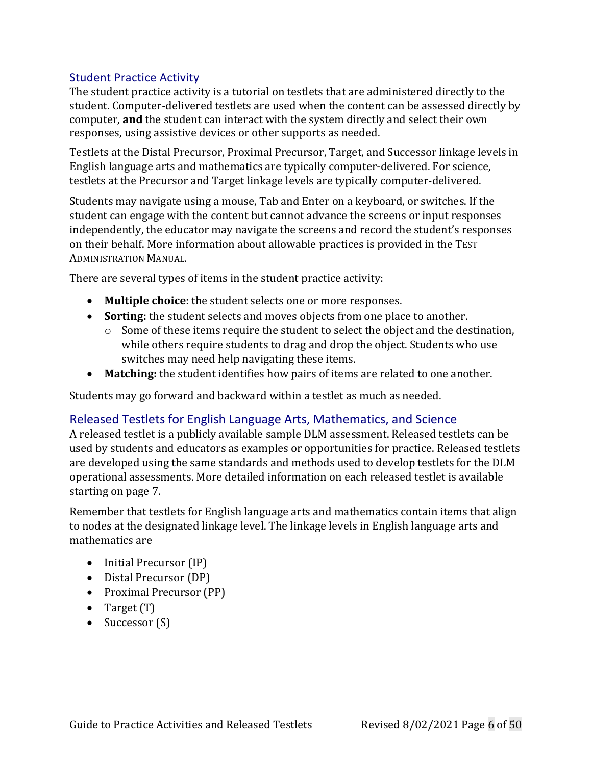### Student Practice Activity

The student practice activity is a tutorial on testlets that are administered directly to the student. Computer-delivered testlets are used when the content can be assessed directly by computer, **and** the student can interact with the system directly and select their own responses, using assistive devices or other supports as needed.

Testlets at the Distal Precursor, Proximal Precursor, Target, and Successor linkage levels in English language arts and mathematics are typically computer-delivered. For science, testlets at the Precursor and Target linkage levels are typically computer-delivered.

Students may navigate using a mouse, Tab and Enter on a keyboard, or switches. If the student can engage with the content but cannot advance the screens or input responses independently, the educator may navigate the screens and record the student's responses on their behalf. More information about allowable practices is provided in the TEST ADMINISTRATION MANUAL.

There are several types of items in the student practice activity:

- **Multiple choice**: the student selects one or more responses.
- **Sorting:** the student selects and moves objects from one place to another.
	- o Some of these items require the student to select the object and the destination, while others require students to drag and drop the object. Students who use switches may need help navigating these items.
- **Matching:** the student identifies how pairs of items are related to one another.

Students may go forward and backward within a testlet as much as needed.

### Released Testlets for English Language Arts, Mathematics, and Science

A released testlet is a publicly available sample DLM assessment. Released testlets can be used by students and educators as examples or opportunities for practice. Released testlets are developed using the same standards and methods used to develop testlets for the DLM operational assessments. More detailed information on each released testlet is available starting on page [7.](#page-6-0)

Remember that testlets for English language arts and mathematics contain items that align to nodes at the designated linkage level. The linkage levels in English language arts and mathematics are

- Initial Precursor (IP)
- Distal Precursor (DP)
- Proximal Precursor (PP)
- Target (T)
- Successor (S)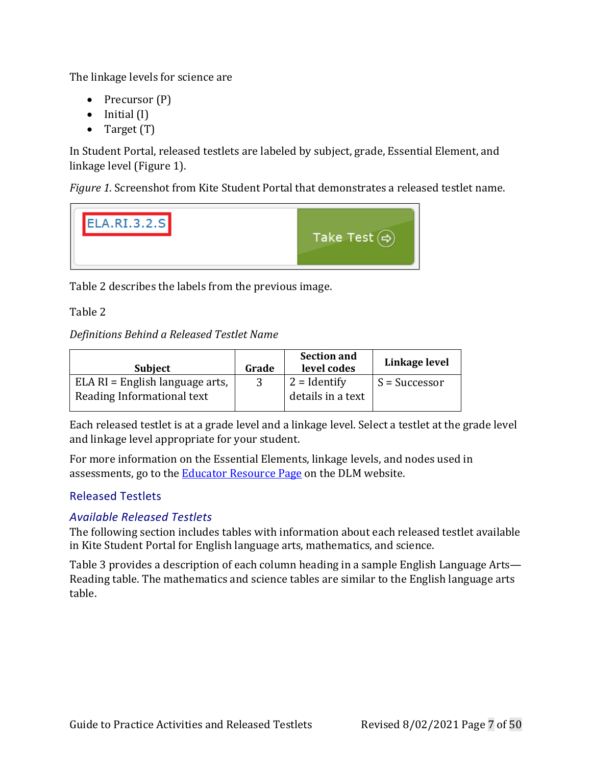The linkage levels for science are

- Precursor (P)
- Initial (I)
- Target (T)

In Student Portal, released testlets are labeled by subject, grade, Essential Element, and linkage level [\(Figure 1\)](#page-6-1).

<span id="page-6-1"></span>*Figure 1.* Screenshot from Kite Student Portal that demonstrates a released testlet name.



[Table 2](#page-6-2) describes the labels from the previous image.

<span id="page-6-2"></span>Table 2

### *Definitions Behind a Released Testlet Name*

| <b>Subject</b>                    | Grade | <b>Section and</b><br>level codes | Linkage level   |
|-----------------------------------|-------|-----------------------------------|-----------------|
| $ELA RI = English language arts,$ |       | $ 2 =$ Identify                   | $S = Successor$ |
| Reading Informational text        |       | details in a text                 |                 |

Each released testlet is at a grade level and a linkage level. Select a testlet at the grade level and linkage level appropriate for your student.

For more information on the Essential Elements, linkage levels, and nodes used in assessments, go to the **Educator Resource Page** on the DLM website.

### <span id="page-6-0"></span>Released Testlets

### *Available Released Testlets*

The following section includes tables with information about each release[d testlet available](#page-6-3)  in Kite Student Portal for English language arts, mathematics, and science.

<span id="page-6-3"></span>[Table](#page-6-3) 3 provides a description of each column heading in a sample English Language Arts— Reading table. The mathematics and science tables are similar to the English language arts table.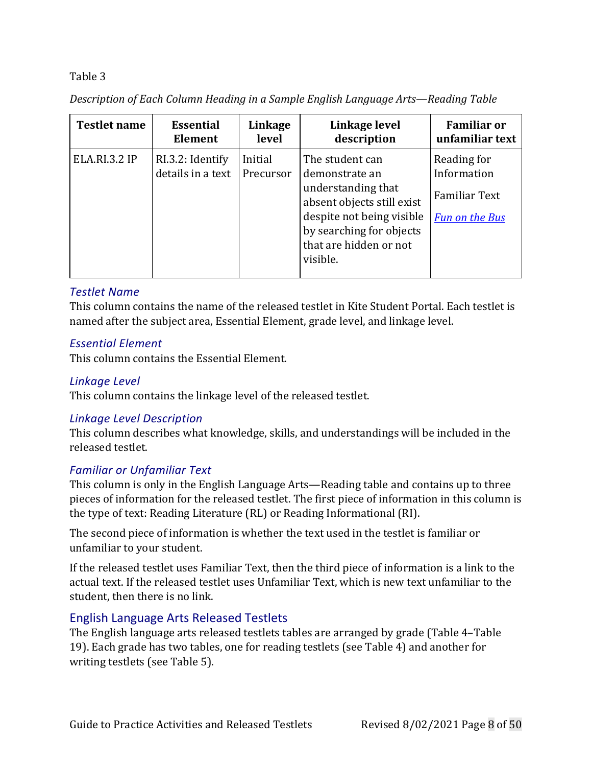*Description of Each Column Heading in a Sample English Language Arts—Reading Table*

| <b>Testlet name</b>  | <b>Essential</b>                      | Linkage              | Linkage level                                                                                                                                                                        | <b>Familiar or</b>                                                          |
|----------------------|---------------------------------------|----------------------|--------------------------------------------------------------------------------------------------------------------------------------------------------------------------------------|-----------------------------------------------------------------------------|
|                      | Element                               | level                | description                                                                                                                                                                          | unfamiliar text                                                             |
| <b>ELA.RI.3.2 IP</b> | RI.3.2: Identify<br>details in a text | Initial<br>Precursor | The student can<br>demonstrate an<br>understanding that<br>absent objects still exist<br>despite not being visible<br>by searching for objects<br>that are hidden or not<br>visible. | Reading for<br>Information<br><b>Familiar Text</b><br><b>Fun on the Bus</b> |

### *Testlet Name*

This column contains the name of the released testlet in Kite Student Portal. Each testlet is named after the subject area, Essential Element, grade level, and linkage level.

### *Essential Element*

This column contains the Essential Element.

### *Linkage Level*

This column contains the linkage level of the released testlet.

### *Linkage Level Description*

This column describes what knowledge, skills, and understandings will be included in the released testlet.

### *Familiar or Unfamiliar Text*

This column is only in the English Language Arts—Reading table and contains up to three pieces of information for the released testlet. The first piece of information in this column is the type of text: Reading Literature (RL) or Reading Informational (RI).

The second piece of information is whether the text used in the testlet is familiar or unfamiliar to your student.

If the released testlet uses Familiar Text, then the third piece of information is a link to the actual text. If the released testlet uses Unfamiliar Text, which is new text unfamiliar to the student, then there is no link.

### English Language Arts Released Testlets

The English language arts released testlets tables are arranged by grade [\(Table 4](#page-8-0)[–Table](#page-27-0) [19\)](#page-27-0). Each grade has two tables, one for reading testlets (see [Table 4\)](#page-8-0) and another for writing testlets (see [Table 5\)](#page-10-0).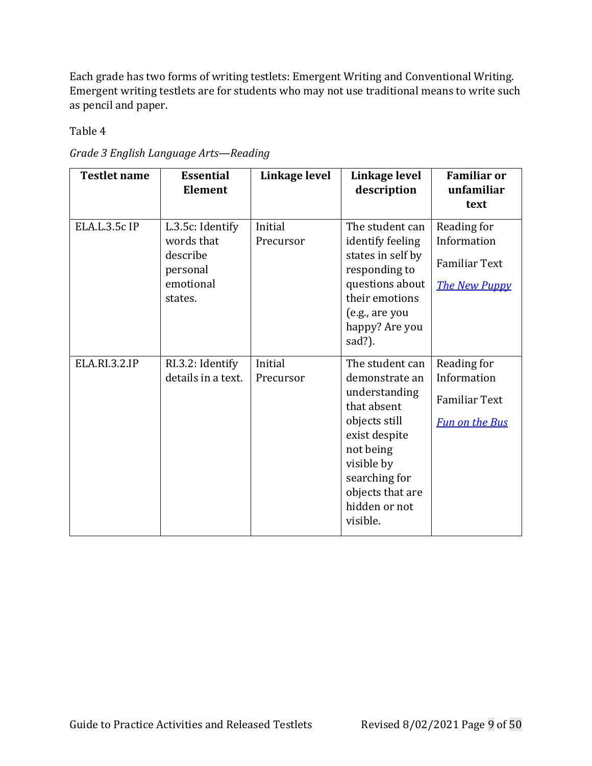Each grade has two forms of writing testlets: Emergent Writing and Conventional Writing. Emergent writing testlets are for students who may not use traditional means to write such as pencil and paper.

<span id="page-8-0"></span>*Grade 3 English Language Arts—Reading*

| <b>Testlet name</b>  | <b>Essential</b><br><b>Element</b>                                             | Linkage level        | Linkage level<br>description                                                                                                                                                                     | <b>Familiar or</b><br>unfamiliar<br>text                                    |
|----------------------|--------------------------------------------------------------------------------|----------------------|--------------------------------------------------------------------------------------------------------------------------------------------------------------------------------------------------|-----------------------------------------------------------------------------|
| ELA.L.3.5c IP        | L.3.5c: Identify<br>words that<br>describe<br>personal<br>emotional<br>states. | Initial<br>Precursor | The student can<br>identify feeling<br>states in self by<br>responding to<br>questions about<br>their emotions<br>(e.g., are you<br>happy? Are you<br>sad?).                                     | Reading for<br>Information<br><b>Familiar Text</b><br><b>The New Puppy</b>  |
| <b>ELA.RI.3.2.IP</b> | RI.3.2: Identify<br>details in a text.                                         | Initial<br>Precursor | The student can<br>demonstrate an<br>understanding<br>that absent<br>objects still<br>exist despite<br>not being<br>visible by<br>searching for<br>objects that are<br>hidden or not<br>visible. | Reading for<br>Information<br><b>Familiar Text</b><br><b>Fun on the Bus</b> |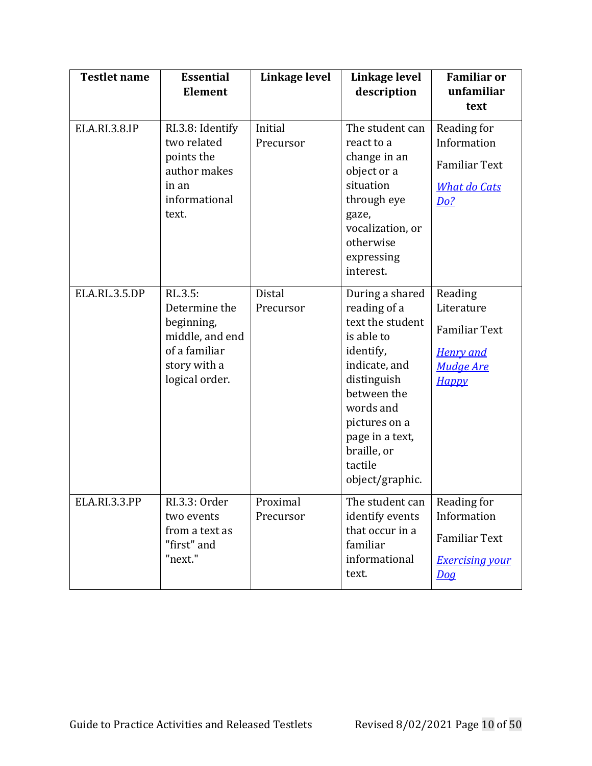| <b>Testlet name</b>  | <b>Essential</b><br><b>Element</b>                                                                           | Linkage level         | Linkage level<br>description                                                                                                                                                                                                | <b>Familiar or</b><br>unfamiliar<br>text                                                   |
|----------------------|--------------------------------------------------------------------------------------------------------------|-----------------------|-----------------------------------------------------------------------------------------------------------------------------------------------------------------------------------------------------------------------------|--------------------------------------------------------------------------------------------|
| <b>ELA.RI.3.8.IP</b> | RI.3.8: Identify<br>two related<br>points the<br>author makes<br>in an<br>informational<br>text.             | Initial<br>Precursor  | The student can<br>react to a<br>change in an<br>object or a<br>situation<br>through eye<br>gaze,<br>vocalization, or<br>otherwise<br>expressing<br>interest.                                                               | Reading for<br>Information<br><b>Familiar Text</b><br><b>What do Cats</b><br><u>Do?</u>    |
| ELA.RL.3.5.DP        | RL.3.5:<br>Determine the<br>beginning,<br>middle, and end<br>of a familiar<br>story with a<br>logical order. | Distal<br>Precursor   | During a shared<br>reading of a<br>text the student<br>is able to<br>identify,<br>indicate, and<br>distinguish<br>between the<br>words and<br>pictures on a<br>page in a text,<br>braille, or<br>tactile<br>object/graphic. | Reading<br>Literature<br><b>Familiar Text</b><br><b>Henry</b> and<br>Mudge Are<br>Нарру    |
| ELA.RI.3.3.PP        | RI.3.3: Order<br>two events<br>from a text as<br>"first" and<br>"next."                                      | Proximal<br>Precursor | The student can<br>identify events<br>that occur in a<br>familiar<br>informational<br>text.                                                                                                                                 | Reading for<br>Information<br><b>Familiar Text</b><br><b>Exercising your</b><br><u>Dog</u> |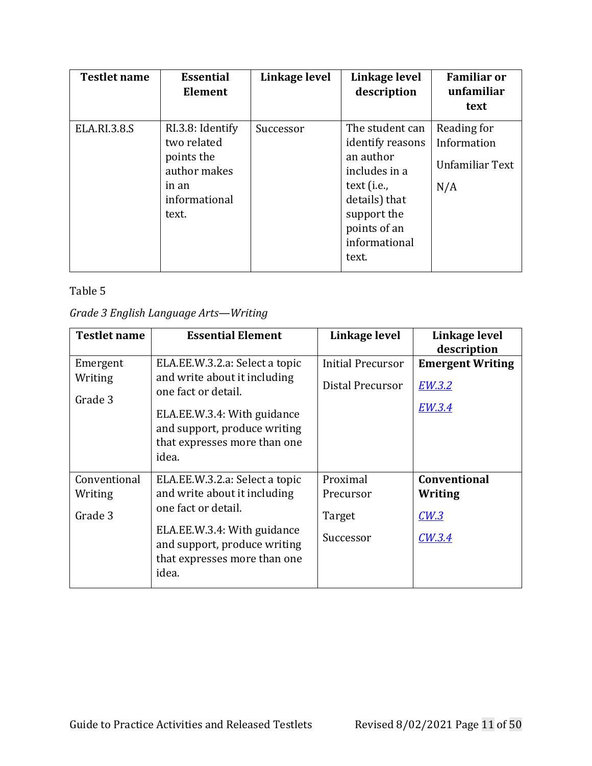| <b>Testlet name</b> | <b>Essential</b><br>Element                                                                      | Linkage level | Linkage level<br>description                                                                                                                               | <b>Familiar or</b><br>unfamiliar<br>text             |
|---------------------|--------------------------------------------------------------------------------------------------|---------------|------------------------------------------------------------------------------------------------------------------------------------------------------------|------------------------------------------------------|
| <b>ELA.RI.3.8.S</b> | RI.3.8: Identify<br>two related<br>points the<br>author makes<br>in an<br>informational<br>text. | Successor     | The student can<br>identify reasons<br>an author<br>includes in a<br>text (i.e.,<br>details) that<br>support the<br>points of an<br>informational<br>text. | Reading for<br>Information<br>Unfamiliar Text<br>N/A |

### <span id="page-10-0"></span>*Grade 3 English Language Arts—Writing*

| <b>Testlet name</b>                | <b>Essential Element</b>                                                                                                                                                                      | Linkage level                                | Linkage level<br>description                       |
|------------------------------------|-----------------------------------------------------------------------------------------------------------------------------------------------------------------------------------------------|----------------------------------------------|----------------------------------------------------|
| Emergent<br>Writing<br>Grade 3     | ELA.EE.W.3.2.a: Select a topic<br>and write about it including<br>one fact or detail.<br>ELA.EE.W.3.4: With guidance<br>and support, produce writing<br>that expresses more than one<br>idea. | <b>Initial Precursor</b><br>Distal Precursor | <b>Emergent Writing</b><br><b>EW.3.2</b><br>EW.3.4 |
| Conventional<br>Writing<br>Grade 3 | ELA.EE.W.3.2.a: Select a topic<br>and write about it including<br>one fact or detail.<br>ELA.EE.W.3.4: With guidance<br>and support, produce writing<br>that expresses more than one<br>idea. | Proximal<br>Precursor<br>Target<br>Successor | <b>Conventional</b><br>Writing<br>CW.3<br>CW.3.4   |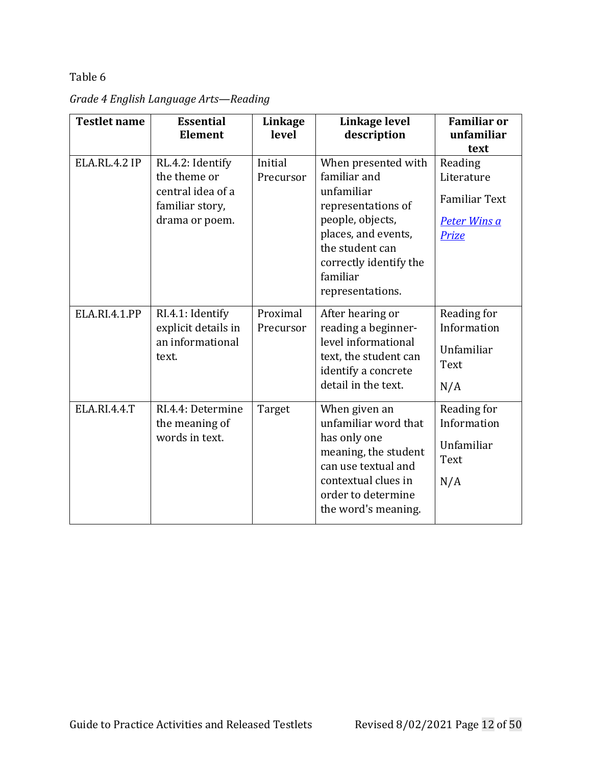| <b>Testlet name</b>  | <b>Essential</b><br><b>Element</b>                                                         | Linkage<br>level      | Linkage level<br>description                                                                                                                                                                    | <b>Familiar or</b><br>unfamiliar                                                     |
|----------------------|--------------------------------------------------------------------------------------------|-----------------------|-------------------------------------------------------------------------------------------------------------------------------------------------------------------------------------------------|--------------------------------------------------------------------------------------|
|                      |                                                                                            |                       |                                                                                                                                                                                                 | text                                                                                 |
| <b>ELA.RL.4.2 IP</b> | RL.4.2: Identify<br>the theme or<br>central idea of a<br>familiar story,<br>drama or poem. | Initial<br>Precursor  | When presented with<br>familiar and<br>unfamiliar<br>representations of<br>people, objects,<br>places, and events,<br>the student can<br>correctly identify the<br>familiar<br>representations. | Reading<br>Literature<br><b>Familiar Text</b><br><b>Peter Wins a</b><br><b>Prize</b> |
| ELA.RI.4.1.PP        | RI.4.1: Identify<br>explicit details in<br>an informational<br>text.                       | Proximal<br>Precursor | After hearing or<br>reading a beginner-<br>level informational<br>text, the student can<br>identify a concrete<br>detail in the text.                                                           | Reading for<br>Information<br>Unfamiliar<br>Text<br>N/A                              |
| ELA.RI.4.4.T         | RI.4.4: Determine<br>the meaning of<br>words in text.                                      | Target                | When given an<br>unfamiliar word that<br>has only one<br>meaning, the student<br>can use textual and<br>contextual clues in<br>order to determine<br>the word's meaning.                        | Reading for<br>Information<br>Unfamiliar<br>Text<br>N/A                              |

*Grade 4 English Language Arts—Reading*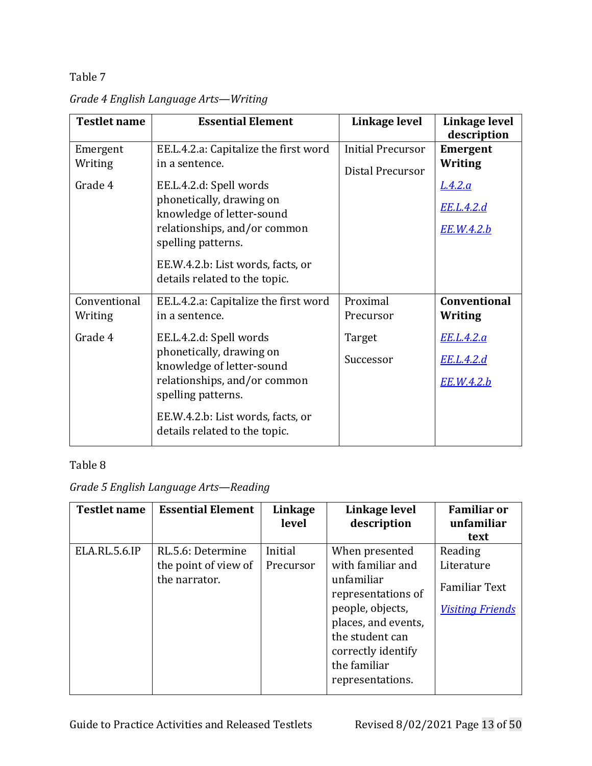| <b>Testlet name</b>                | <b>Essential Element</b>                                                                                                                                                                                                                                                | Linkage level                                | Linkage level<br>description                                                           |
|------------------------------------|-------------------------------------------------------------------------------------------------------------------------------------------------------------------------------------------------------------------------------------------------------------------------|----------------------------------------------|----------------------------------------------------------------------------------------|
| Emergent<br>Writing<br>Grade 4     | EE.L.4.2.a: Capitalize the first word<br>in a sentence.<br>EE.L.4.2.d: Spell words<br>phonetically, drawing on<br>knowledge of letter-sound<br>relationships, and/or common<br>spelling patterns.<br>EE.W.4.2.b: List words, facts, or<br>details related to the topic. | <b>Initial Precursor</b><br>Distal Precursor | <b>Emergent</b><br>Writing<br><u>L.4.2.a</u><br><u>EE.L.4.2.d</u><br>EE.W.4.2.b        |
| Conventional<br>Writing<br>Grade 4 | EE.L.4.2.a: Capitalize the first word<br>in a sentence.<br>EE.L.4.2.d: Spell words<br>phonetically, drawing on<br>knowledge of letter-sound<br>relationships, and/or common<br>spelling patterns.<br>EE.W.4.2.b: List words, facts, or<br>details related to the topic. | Proximal<br>Precursor<br>Target<br>Successor | <b>Conventional</b><br><b>Writing</b><br>EE.L.4.2.a<br><u>EE.L.4.2.d</u><br>EE.W.4.2.b |

*Grade 4 English Language Arts—Writing*

# Table 8

### *Grade 5 English Language Arts—Reading*

| <b>Testlet name</b> | <b>Essential Element</b> | Linkage<br>level | Linkage level<br>description            | <b>Familiar or</b><br>unfamiliar |
|---------------------|--------------------------|------------------|-----------------------------------------|----------------------------------|
|                     |                          |                  |                                         | text                             |
| ELA.RL.5.6.IP       | RL.5.6: Determine        | Initial          | When presented                          | Reading                          |
|                     | the point of view of     | Precursor        | with familiar and                       | Literature                       |
|                     | the narrator.            |                  | unfamiliar<br>representations of        | <b>Familiar Text</b>             |
|                     |                          |                  | people, objects,<br>places, and events, | <b>Visiting Friends</b>          |
|                     |                          |                  | the student can                         |                                  |
|                     |                          |                  | correctly identify                      |                                  |
|                     |                          |                  | the familiar                            |                                  |
|                     |                          |                  | representations.                        |                                  |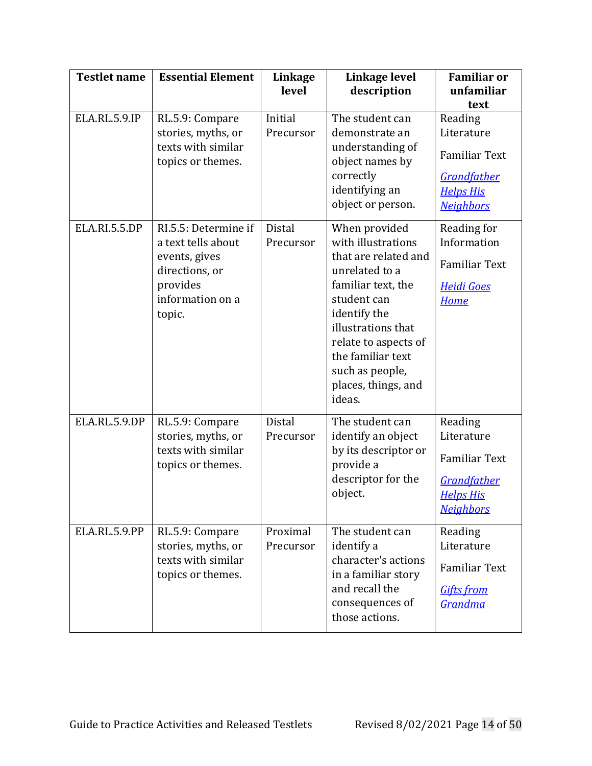| <b>Testlet name</b>  | <b>Essential Element</b>                                                                                                | Linkage<br>level           | Linkage level<br>description                                                                                                                                                                                                                              | <b>Familiar or</b><br>unfamiliar<br>text                                                                    |
|----------------------|-------------------------------------------------------------------------------------------------------------------------|----------------------------|-----------------------------------------------------------------------------------------------------------------------------------------------------------------------------------------------------------------------------------------------------------|-------------------------------------------------------------------------------------------------------------|
| <b>ELA.RL.5.9.IP</b> | RL.5.9: Compare<br>stories, myths, or<br>texts with similar<br>topics or themes.                                        | Initial<br>Precursor       | The student can<br>demonstrate an<br>understanding of<br>object names by<br>correctly<br>identifying an<br>object or person.                                                                                                                              | Reading<br>Literature<br><b>Familiar Text</b><br><b>Grandfather</b><br><b>Helps His</b><br><b>Neighbors</b> |
| <b>ELA.RI.5.5.DP</b> | RI.5.5: Determine if<br>a text tells about<br>events, gives<br>directions, or<br>provides<br>information on a<br>topic. | Distal<br>Precursor        | When provided<br>with illustrations<br>that are related and<br>unrelated to a<br>familiar text, the<br>student can<br>identify the<br>illustrations that<br>relate to aspects of<br>the familiar text<br>such as people,<br>places, things, and<br>ideas. | Reading for<br>Information<br><b>Familiar Text</b><br><b>Heidi Goes</b><br><b>Home</b>                      |
| ELA.RL.5.9.DP        | RL.5.9: Compare<br>stories, myths, or<br>texts with similar<br>topics or themes.                                        | <b>Distal</b><br>Precursor | The student can<br>identify an object<br>by its descriptor or<br>provide a<br>descriptor for the<br>object.                                                                                                                                               | Reading<br>Literature<br><b>Familiar Text</b><br>Grandfather<br><b>Helps His</b><br><b>Neighbors</b>        |
| ELA.RL.5.9.PP        | RL.5.9: Compare<br>stories, myths, or<br>texts with similar<br>topics or themes.                                        | Proximal<br>Precursor      | The student can<br>identify a<br>character's actions<br>in a familiar story<br>and recall the<br>consequences of<br>those actions.                                                                                                                        | Reading<br>Literature<br><b>Familiar Text</b><br><b>Gifts from</b><br>Grandma                               |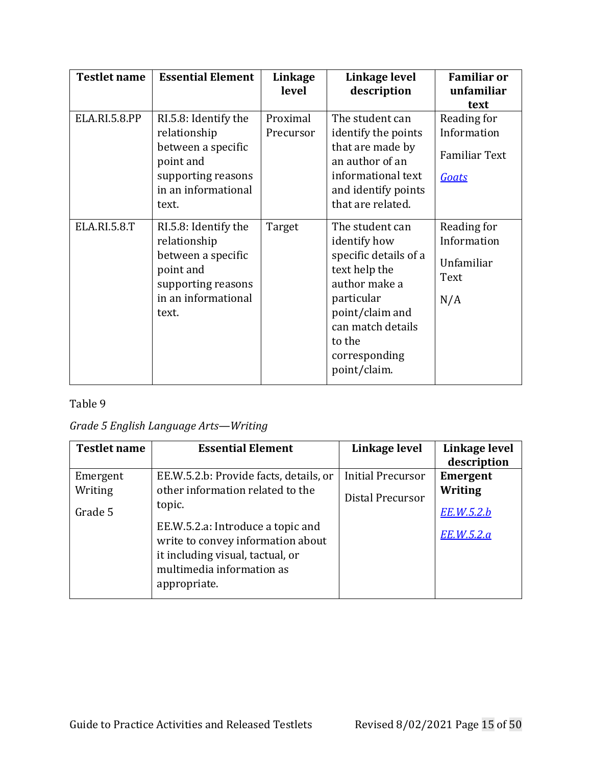| <b>Testlet name</b> | <b>Essential Element</b>                                                                                                      | Linkage<br>level      | Linkage level<br>description                                                                                                                                                                | <b>Familiar or</b><br>unfamiliar<br>text                    |
|---------------------|-------------------------------------------------------------------------------------------------------------------------------|-----------------------|---------------------------------------------------------------------------------------------------------------------------------------------------------------------------------------------|-------------------------------------------------------------|
| ELA.RI.5.8.PP       | RI.5.8: Identify the<br>relationship<br>between a specific<br>point and<br>supporting reasons<br>in an informational<br>text. | Proximal<br>Precursor | The student can<br>identify the points<br>that are made by<br>an author of an<br>informational text<br>and identify points<br>that are related.                                             | Reading for<br>Information<br><b>Familiar Text</b><br>Goats |
| ELA.RI.5.8.T        | RI.5.8: Identify the<br>relationship<br>between a specific<br>point and<br>supporting reasons<br>in an informational<br>text. | Target                | The student can<br>identify how<br>specific details of a<br>text help the<br>author make a<br>particular<br>point/claim and<br>can match details<br>to the<br>corresponding<br>point/claim. | Reading for<br>Information<br>Unfamiliar<br>Text<br>N/A     |

### *Grade 5 English Language Arts—Writing*

| <b>Testlet name</b>            | <b>Essential Element</b>                                                                                                                                                                                                                        | Linkage level                                | Linkage level<br>description                                  |
|--------------------------------|-------------------------------------------------------------------------------------------------------------------------------------------------------------------------------------------------------------------------------------------------|----------------------------------------------|---------------------------------------------------------------|
| Emergent<br>Writing<br>Grade 5 | EE.W.5.2.b: Provide facts, details, or<br>other information related to the<br>topic.<br>EE.W.5.2.a: Introduce a topic and<br>write to convey information about<br>it including visual, tactual, or<br>multimedia information as<br>appropriate. | <b>Initial Precursor</b><br>Distal Precursor | Emergent<br><b>Writing</b><br><u>EE.W.5.2.b</u><br>EE.W.5.2.a |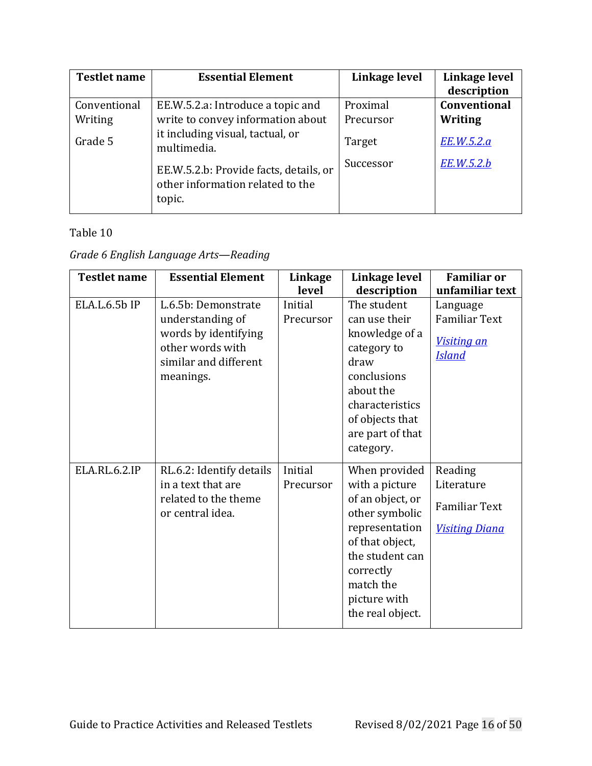| <b>Testlet name</b> | <b>Essential Element</b>                                                             | Linkage level | Linkage level<br>description |
|---------------------|--------------------------------------------------------------------------------------|---------------|------------------------------|
| Conventional        | EE.W.5.2.a: Introduce a topic and                                                    | Proximal      | Conventional                 |
| Writing             | write to convey information about                                                    | Precursor     | Writing                      |
| Grade 5             | it including visual, tactual, or<br>multimedia.                                      | Target        | EE.W.5.2.a                   |
|                     | EE.W.5.2.b: Provide facts, details, or<br>other information related to the<br>topic. | Successor     | EE.W.5.2.b                   |

# *Grade 6 English Language Arts—Reading*

| <b>Testlet name</b> | <b>Essential Element</b>                                                                                                  | Linkage<br>level     | Linkage level<br>description                                                                                                                                                                | <b>Familiar or</b><br>unfamiliar text                                  |
|---------------------|---------------------------------------------------------------------------------------------------------------------------|----------------------|---------------------------------------------------------------------------------------------------------------------------------------------------------------------------------------------|------------------------------------------------------------------------|
| ELA.L.6.5b IP       | L.6.5b: Demonstrate<br>understanding of<br>words by identifying<br>other words with<br>similar and different<br>meanings. | Initial<br>Precursor | The student<br>can use their<br>knowledge of a<br>category to<br>draw<br>conclusions<br>about the<br>characteristics<br>of objects that<br>are part of that<br>category.                    | Language<br><b>Familiar Text</b><br>Visiting an<br><b>Island</b>       |
| ELA.RL.6.2.IP       | RL.6.2: Identify details<br>in a text that are<br>related to the theme<br>or central idea.                                | Initial<br>Precursor | When provided<br>with a picture<br>of an object, or<br>other symbolic<br>representation<br>of that object,<br>the student can<br>correctly<br>match the<br>picture with<br>the real object. | Reading<br>Literature<br><b>Familiar Text</b><br><b>Visiting Diana</b> |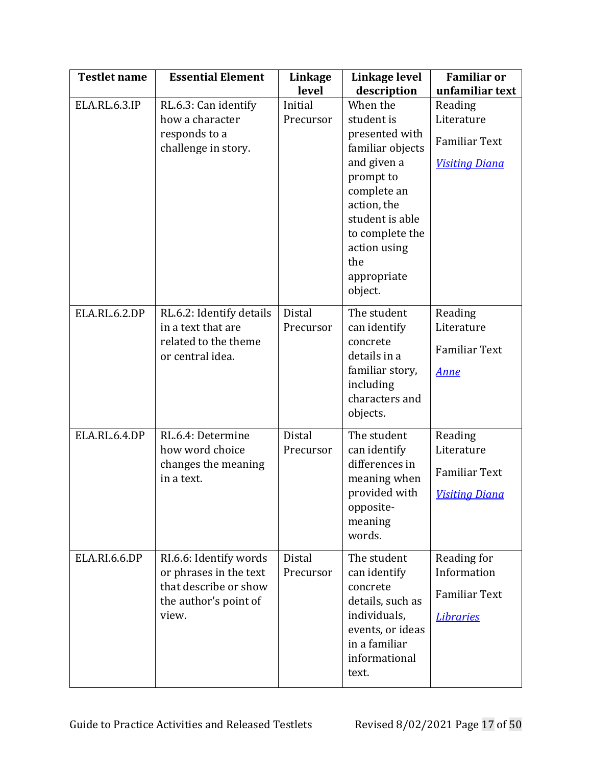| <b>Testlet name</b>  | <b>Essential Element</b>                                                                                    | Linkage<br>level     | Linkage level<br>description                                                                                                                                                                                  | <b>Familiar or</b><br>unfamiliar text                                  |
|----------------------|-------------------------------------------------------------------------------------------------------------|----------------------|---------------------------------------------------------------------------------------------------------------------------------------------------------------------------------------------------------------|------------------------------------------------------------------------|
| <b>ELA.RL.6.3.IP</b> | RL.6.3: Can identify<br>how a character<br>responds to a<br>challenge in story.                             | Initial<br>Precursor | When the<br>student is<br>presented with<br>familiar objects<br>and given a<br>prompt to<br>complete an<br>action, the<br>student is able<br>to complete the<br>action using<br>the<br>appropriate<br>object. | Reading<br>Literature<br><b>Familiar Text</b><br><b>Visiting Diana</b> |
| <b>ELA.RL.6.2.DP</b> | RL.6.2: Identify details<br>in a text that are<br>related to the theme<br>or central idea.                  | Distal<br>Precursor  | The student<br>can identify<br>concrete<br>details in a<br>familiar story,<br>including<br>characters and<br>objects.                                                                                         | Reading<br>Literature<br><b>Familiar Text</b><br><u>Anne</u>           |
| ELA.RL.6.4.DP        | RL.6.4: Determine<br>how word choice<br>changes the meaning<br>in a text.                                   | Distal<br>Precursor  | The student<br>can identify<br>differences in<br>meaning when<br>provided with<br>opposite-<br>meaning<br>words.                                                                                              | Reading<br>Literature<br><b>Familiar Text</b><br><b>Visiting Diana</b> |
| ELA.RI.6.6.DP        | RI.6.6: Identify words<br>or phrases in the text<br>that describe or show<br>the author's point of<br>view. | Distal<br>Precursor  | The student<br>can identify<br>concrete<br>details, such as<br>individuals,<br>events, or ideas<br>in a familiar<br>informational<br>text.                                                                    | Reading for<br>Information<br><b>Familiar Text</b><br><b>Libraries</b> |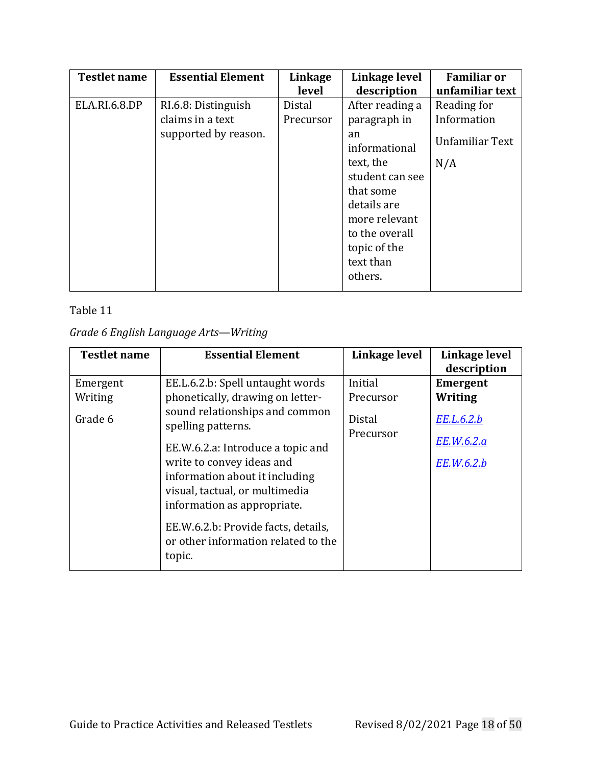| <b>Testlet name</b>  | <b>Essential Element</b> | Linkage   | Linkage level   | <b>Familiar or</b> |
|----------------------|--------------------------|-----------|-----------------|--------------------|
|                      |                          | level     | description     | unfamiliar text    |
| <b>ELA.RI.6.8.DP</b> | RI.6.8: Distinguish      | Distal    | After reading a | Reading for        |
|                      | claims in a text         | Precursor | paragraph in    | Information        |
|                      | supported by reason.     |           | an              | Unfamiliar Text    |
|                      |                          |           | informational   |                    |
|                      |                          |           | text, the       | N/A                |
|                      |                          |           | student can see |                    |
|                      |                          |           | that some       |                    |
|                      |                          |           | details are     |                    |
|                      |                          |           | more relevant   |                    |
|                      |                          |           | to the overall  |                    |
|                      |                          |           | topic of the    |                    |
|                      |                          |           | text than       |                    |
|                      |                          |           | others.         |                    |

# *Grade 6 English Language Arts—Writing*

| <b>Testlet name</b> | <b>Essential Element</b>                                                                                                                                          | Linkage level       | Linkage level<br>description |
|---------------------|-------------------------------------------------------------------------------------------------------------------------------------------------------------------|---------------------|------------------------------|
| Emergent            | EE.L.6.2.b: Spell untaught words                                                                                                                                  | Initial             | <b>Emergent</b>              |
| Writing             | phonetically, drawing on letter-                                                                                                                                  | Precursor           | <b>Writing</b>               |
| Grade 6             | sound relationships and common<br>spelling patterns.                                                                                                              | Distal<br>Precursor | EE.L.6.2.b                   |
|                     | EE.W.6.2.a: Introduce a topic and<br>write to convey ideas and<br>information about it including<br>visual, tactual, or multimedia<br>information as appropriate. |                     | EE.W.6.2.a<br>EE.W.6.2.b     |
|                     | EE.W.6.2.b: Provide facts, details,<br>or other information related to the<br>topic.                                                                              |                     |                              |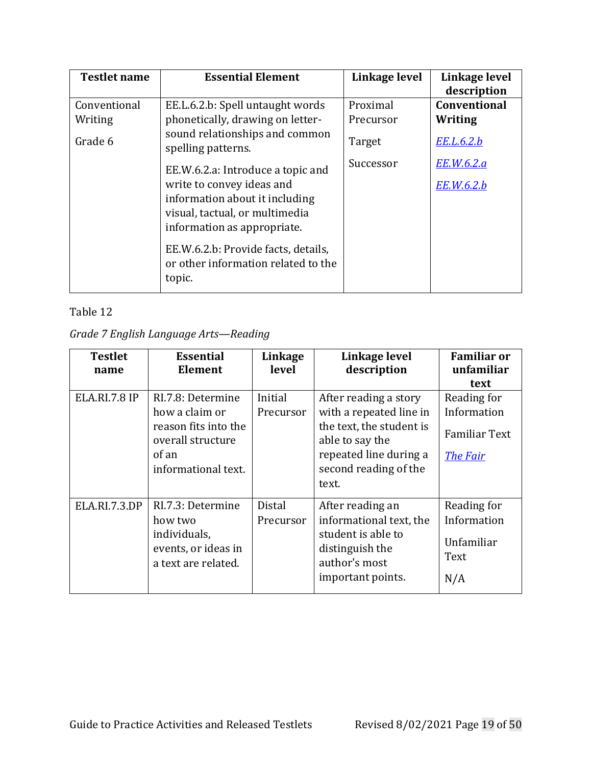| <b>Testlet name</b> | <b>Essential Element</b>                                                   | Linkage level | Linkage level<br>description |
|---------------------|----------------------------------------------------------------------------|---------------|------------------------------|
| Conventional        | EE.L.6.2.b: Spell untaught words                                           | Proximal      | <b>Conventional</b>          |
| Writing             | phonetically, drawing on letter-                                           | Precursor     | Writing                      |
| Grade 6             | sound relationships and common<br>spelling patterns.                       | Target        | EE.L.6.2.b                   |
|                     | EE.W.6.2.a: Introduce a topic and                                          | Successor     | EE.W.6.2.a                   |
|                     | write to convey ideas and                                                  |               | <u>EE.W.6.2.b</u>            |
|                     | information about it including                                             |               |                              |
|                     | visual, tactual, or multimedia                                             |               |                              |
|                     | information as appropriate.                                                |               |                              |
|                     | EE.W.6.2.b: Provide facts, details,<br>or other information related to the |               |                              |
|                     | topic.                                                                     |               |                              |

*Grade 7 English Language Arts—Reading*

| <b>Testlet</b><br>name | <b>Essential</b><br><b>Element</b>                                                                               | Linkage<br>level           | Linkage level<br>description                                                                                                                                | <b>Familiar or</b><br>unfamiliar                                              |
|------------------------|------------------------------------------------------------------------------------------------------------------|----------------------------|-------------------------------------------------------------------------------------------------------------------------------------------------------------|-------------------------------------------------------------------------------|
| <b>ELA.RI.7.8 IP</b>   | RI.7.8: Determine<br>how a claim or<br>reason fits into the<br>overall structure<br>of an<br>informational text. | Initial<br>Precursor       | After reading a story<br>with a repeated line in<br>the text, the student is<br>able to say the<br>repeated line during a<br>second reading of the<br>text. | text<br>Reading for<br>Information<br><b>Familiar Text</b><br><b>The Fair</b> |
| ELA.RI.7.3.DP          | RI.7.3: Determine<br>how two<br>individuals,<br>events, or ideas in<br>a text are related.                       | <b>Distal</b><br>Precursor | After reading an<br>informational text, the<br>student is able to<br>distinguish the<br>author's most<br>important points.                                  | Reading for<br>Information<br>Unfamiliar<br>Text<br>N/A                       |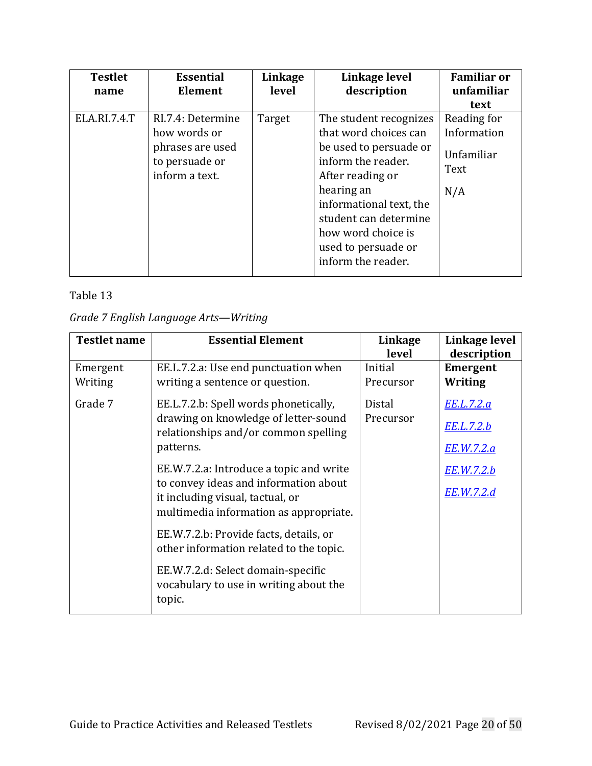| <b>Testlet</b><br>name | <b>Essential</b><br><b>Element</b>                                                        | Linkage<br>level | Linkage level<br>description                                                                                                                                                                                                                             | <b>Familiar or</b><br>unfamiliar<br>text                |
|------------------------|-------------------------------------------------------------------------------------------|------------------|----------------------------------------------------------------------------------------------------------------------------------------------------------------------------------------------------------------------------------------------------------|---------------------------------------------------------|
| ELA.RI.7.4.T           | RI.7.4: Determine<br>how words or<br>phrases are used<br>to persuade or<br>inform a text. | Target           | The student recognizes<br>that word choices can<br>be used to persuade or<br>inform the reader.<br>After reading or<br>hearing an<br>informational text, the<br>student can determine<br>how word choice is<br>used to persuade or<br>inform the reader. | Reading for<br>Information<br>Unfamiliar<br>Text<br>N/A |

|  |  |  | Grade 7 English Language Arts-Writing |
|--|--|--|---------------------------------------|
|--|--|--|---------------------------------------|

| <b>Testlet name</b> | <b>Essential Element</b>                                                                                            | Linkage       | Linkage level     |
|---------------------|---------------------------------------------------------------------------------------------------------------------|---------------|-------------------|
|                     |                                                                                                                     | level         | description       |
| Emergent            | EE.L.7.2.a: Use end punctuation when                                                                                | Initial       | <b>Emergent</b>   |
| Writing             | writing a sentence or question.                                                                                     | Precursor     | Writing           |
| Grade 7             | EE.L.7.2.b: Spell words phonetically,                                                                               | <b>Distal</b> | EE.L.7.2.a        |
|                     | drawing on knowledge of letter-sound<br>relationships and/or common spelling                                        | Precursor     | EE.L.7.2.b        |
|                     | patterns.                                                                                                           |               | <u>EE.W.7.2.a</u> |
|                     | EE.W.7.2.a: Introduce a topic and write                                                                             |               | <u>EE.W.7.2.b</u> |
|                     | to convey ideas and information about<br>it including visual, tactual, or<br>multimedia information as appropriate. |               | EE.W.7.2.d        |
|                     | EE.W.7.2.b: Provide facts, details, or<br>other information related to the topic.                                   |               |                   |
|                     | EE.W.7.2.d: Select domain-specific<br>vocabulary to use in writing about the<br>topic.                              |               |                   |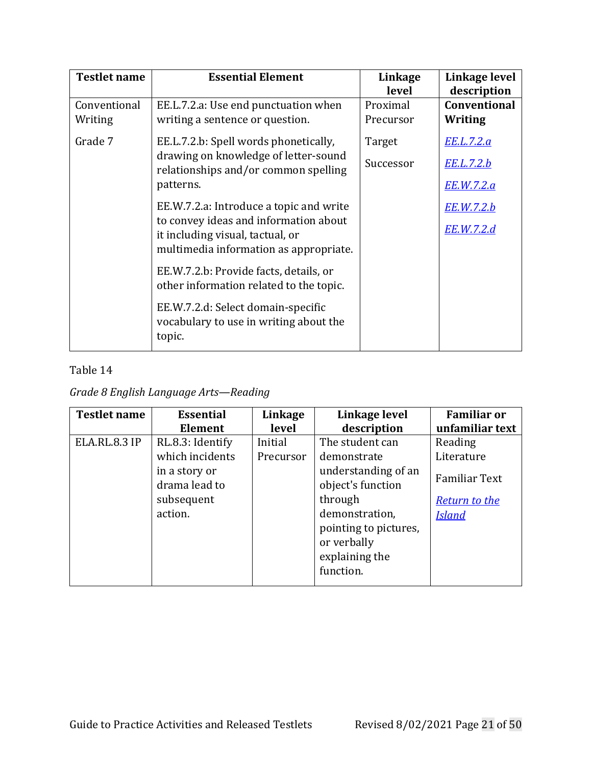| <b>Testlet name</b> | <b>Essential Element</b>                                                               | Linkage<br>level | Linkage level<br>description |
|---------------------|----------------------------------------------------------------------------------------|------------------|------------------------------|
| Conventional        | EE.L.7.2.a: Use end punctuation when                                                   | Proximal         | <b>Conventional</b>          |
| Writing             | writing a sentence or question.                                                        | Precursor        | Writing                      |
| Grade 7             | EE.L.7.2.b: Spell words phonetically,                                                  | Target           | <u>EE.L.7.2.a</u>            |
|                     | drawing on knowledge of letter-sound<br>relationships and/or common spelling           | Successor        | <u>EE.L.7.2.b</u>            |
|                     | patterns.                                                                              |                  | <u>EE.W.7.2.a</u>            |
|                     | EE.W.7.2.a: Introduce a topic and write                                                |                  | <u>EE.W.7.2.b</u>            |
|                     | to convey ideas and information about<br>it including visual, tactual, or              |                  | EE.W.7.2.d                   |
|                     | multimedia information as appropriate.                                                 |                  |                              |
|                     | EE.W.7.2.b: Provide facts, details, or<br>other information related to the topic.      |                  |                              |
|                     | EE.W.7.2.d: Select domain-specific<br>vocabulary to use in writing about the<br>topic. |                  |                              |

*Grade 8 English Language Arts—Reading*

| <b>Testlet name</b> | <b>Essential</b>                                                                               | Linkage              | Linkage level                                                                                                                                                                  | <b>Familiar or</b>                                                                     |
|---------------------|------------------------------------------------------------------------------------------------|----------------------|--------------------------------------------------------------------------------------------------------------------------------------------------------------------------------|----------------------------------------------------------------------------------------|
|                     | Element                                                                                        | level                | description                                                                                                                                                                    | unfamiliar text                                                                        |
| ELA.RL.8.3 IP       | RL.8.3: Identify<br>which incidents<br>in a story or<br>drama lead to<br>subsequent<br>action. | Initial<br>Precursor | The student can<br>demonstrate<br>understanding of an<br>object's function<br>through<br>demonstration,<br>pointing to pictures,<br>or verbally<br>explaining the<br>function. | Reading<br>Literature<br><b>Familiar Text</b><br><b>Return to the</b><br><u>Island</u> |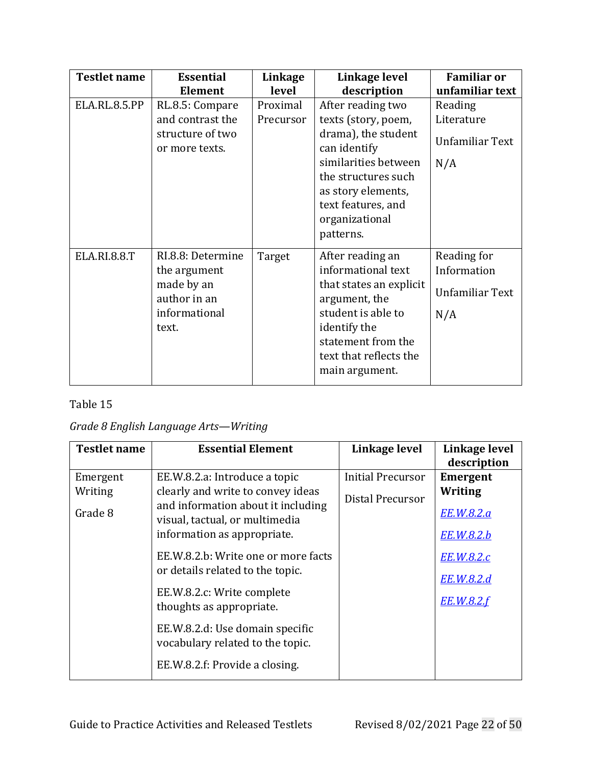| <b>Testlet name</b> | <b>Essential</b>                                                                            | Linkage                        | Linkage level                                                                                                                                                                                                            | <b>Familiar or</b>                                                 |
|---------------------|---------------------------------------------------------------------------------------------|--------------------------------|--------------------------------------------------------------------------------------------------------------------------------------------------------------------------------------------------------------------------|--------------------------------------------------------------------|
| ELA.RL.8.5.PP       | <b>Element</b><br>RL.8.5: Compare<br>and contrast the<br>structure of two<br>or more texts. | level<br>Proximal<br>Precursor | description<br>After reading two<br>texts (story, poem,<br>drama), the student<br>can identify<br>similarities between<br>the structures such<br>as story elements,<br>text features, and<br>organizational<br>patterns. | unfamiliar text<br>Reading<br>Literature<br>Unfamiliar Text<br>N/A |
| <b>ELA.RI.8.8.T</b> | RI.8.8: Determine<br>the argument<br>made by an<br>author in an<br>informational<br>text.   | Target                         | After reading an<br>informational text<br>that states an explicit<br>argument, the<br>student is able to<br>identify the<br>statement from the<br>text that reflects the<br>main argument.                               | Reading for<br>Information<br>Unfamiliar Text<br>N/A               |

### *Grade 8 English Language Arts—Writing*

| <b>Testlet name</b>            | <b>Essential Element</b>                                                                                                                                                                                                                                                                                                                                                                                                | Linkage level                         | Linkage level<br>description                                                                            |
|--------------------------------|-------------------------------------------------------------------------------------------------------------------------------------------------------------------------------------------------------------------------------------------------------------------------------------------------------------------------------------------------------------------------------------------------------------------------|---------------------------------------|---------------------------------------------------------------------------------------------------------|
| Emergent<br>Writing<br>Grade 8 | EE.W.8.2.a: Introduce a topic<br>clearly and write to convey ideas<br>and information about it including<br>visual, tactual, or multimedia<br>information as appropriate.<br>EE.W.8.2.b: Write one or more facts<br>or details related to the topic.<br>EE.W.8.2.c: Write complete<br>thoughts as appropriate.<br>EE.W.8.2.d: Use domain specific<br>vocabulary related to the topic.<br>EE.W.8.2.f: Provide a closing. | Initial Precursor<br>Distal Precursor | <b>Emergent</b><br>Writing<br>EE.W.8.2.a<br>EE.W.8.2.b<br>EE.W.8.2.c<br>EE.W.8.2.d<br><b>EE.W.8.2.f</b> |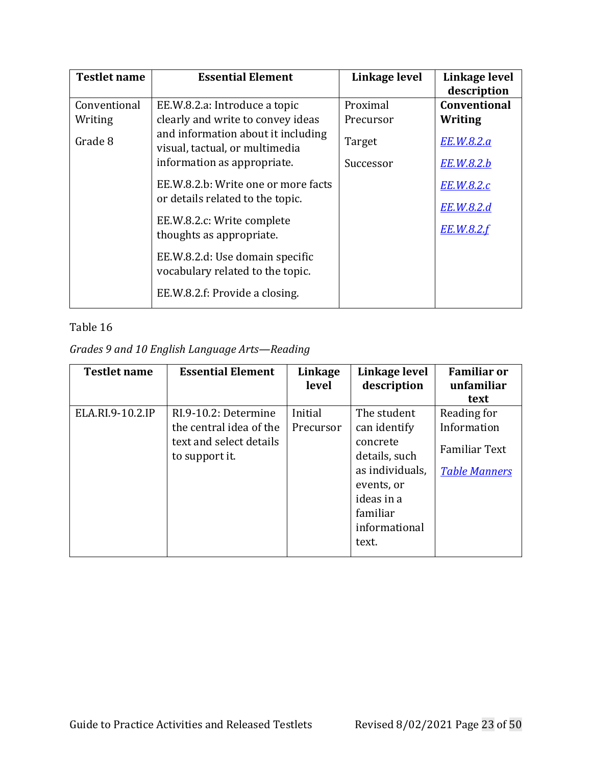| <b>Testlet name</b>                | <b>Essential Element</b>                                                                                                                                                                                                                                                                                                                          | Linkage level                                | Linkage level                                                                                                       |
|------------------------------------|---------------------------------------------------------------------------------------------------------------------------------------------------------------------------------------------------------------------------------------------------------------------------------------------------------------------------------------------------|----------------------------------------------|---------------------------------------------------------------------------------------------------------------------|
| Conventional<br>Writing<br>Grade 8 | EE.W.8.2.a: Introduce a topic<br>clearly and write to convey ideas<br>and information about it including<br>visual, tactual, or multimedia<br>information as appropriate.<br>EE.W.8.2.b: Write one or more facts<br>or details related to the topic.<br>EE.W.8.2.c: Write complete<br>thoughts as appropriate.<br>EE.W.8.2.d: Use domain specific | Proximal<br>Precursor<br>Target<br>Successor | description<br><b>Conventional</b><br>Writing<br>EE.W.8.2.a<br>EE.W.8.2.b<br>EE.W.8.2.c<br>EE.W.8.2.d<br>EE.W.8.2.f |
|                                    | vocabulary related to the topic.<br>EE.W.8.2.f: Provide a closing.                                                                                                                                                                                                                                                                                |                                              |                                                                                                                     |

# *Grades 9 and 10 English Language Arts—Reading*

| <b>Testlet name</b> | <b>Essential Element</b>                  | Linkage<br>level | Linkage level<br>description | <b>Familiar or</b><br>unfamiliar |
|---------------------|-------------------------------------------|------------------|------------------------------|----------------------------------|
|                     |                                           |                  |                              | text                             |
| ELA.RI.9-10.2.IP    | RI.9-10.2: Determine                      | Initial          | The student                  | Reading for                      |
|                     | the central idea of the                   | Precursor        | can identify                 | Information                      |
|                     | text and select details<br>to support it. |                  | concrete<br>details, such    | <b>Familiar Text</b>             |
|                     |                                           |                  | as individuals.              | <b>Table Manners</b>             |
|                     |                                           |                  | events, or                   |                                  |
|                     |                                           |                  | ideas in a                   |                                  |
|                     |                                           |                  | familiar                     |                                  |
|                     |                                           |                  | informational                |                                  |
|                     |                                           |                  | text.                        |                                  |
|                     |                                           |                  |                              |                                  |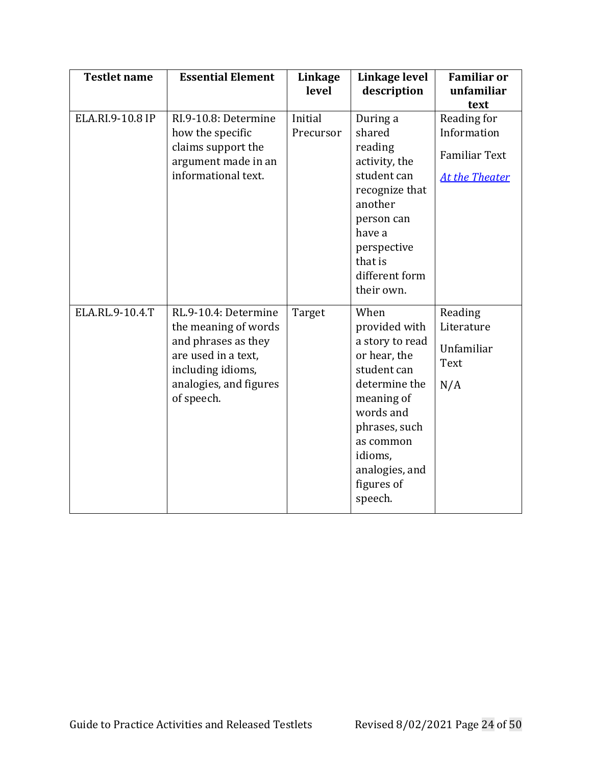| <b>Testlet name</b> | <b>Essential Element</b>                                                                                                                                | Linkage<br>level     | Linkage level<br>description                                                                                                                                                                            | <b>Familiar or</b><br>unfamiliar<br>text                                    |
|---------------------|---------------------------------------------------------------------------------------------------------------------------------------------------------|----------------------|---------------------------------------------------------------------------------------------------------------------------------------------------------------------------------------------------------|-----------------------------------------------------------------------------|
| ELA.RI.9-10.8 IP    | RI.9-10.8: Determine<br>how the specific<br>claims support the<br>argument made in an<br>informational text.                                            | Initial<br>Precursor | During a<br>shared<br>reading<br>activity, the<br>student can<br>recognize that<br>another<br>person can<br>have a<br>perspective<br>that is<br>different form<br>their own.                            | Reading for<br>Information<br><b>Familiar Text</b><br><b>At the Theater</b> |
| ELA.RL.9-10.4.T     | RL.9-10.4: Determine<br>the meaning of words<br>and phrases as they<br>are used in a text,<br>including idioms,<br>analogies, and figures<br>of speech. | Target               | When<br>provided with<br>a story to read<br>or hear, the<br>student can<br>determine the<br>meaning of<br>words and<br>phrases, such<br>as common<br>idioms,<br>analogies, and<br>figures of<br>speech. | Reading<br>Literature<br>Unfamiliar<br><b>Text</b><br>N/A                   |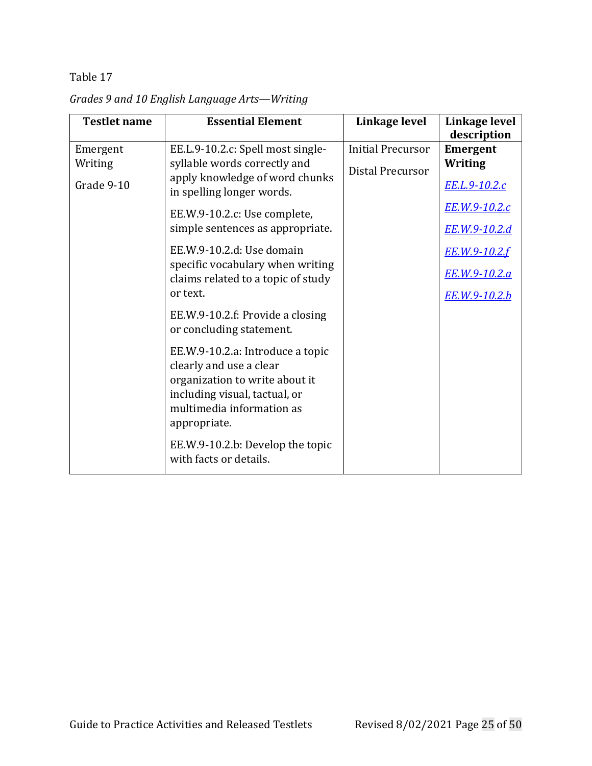| <b>Testlet name</b>               | <b>Essential Element</b>                                                                                                                                                    | Linkage level                                | Linkage level<br>description                           |
|-----------------------------------|-----------------------------------------------------------------------------------------------------------------------------------------------------------------------------|----------------------------------------------|--------------------------------------------------------|
| Emergent<br>Writing<br>Grade 9-10 | EE.L.9-10.2.c: Spell most single-<br>syllable words correctly and<br>apply knowledge of word chunks<br>in spelling longer words.                                            | <b>Initial Precursor</b><br>Distal Precursor | Emergent<br>Writing<br>EE.L.9-10.2.c                   |
|                                   | EE.W.9-10.2.c: Use complete,<br>simple sentences as appropriate.                                                                                                            |                                              | <u>EE.W.9-10.2.c</u><br>EE.W.9-10.2.d                  |
|                                   | EE.W.9-10.2.d: Use domain<br>specific vocabulary when writing<br>claims related to a topic of study<br>or text.                                                             |                                              | EE.W.9-10.2.f<br>EE.W.9-10.2.a<br><u>EE.W.9-10.2.b</u> |
|                                   | EE.W.9-10.2.f: Provide a closing<br>or concluding statement.                                                                                                                |                                              |                                                        |
|                                   | EE.W.9-10.2.a: Introduce a topic<br>clearly and use a clear<br>organization to write about it<br>including visual, tactual, or<br>multimedia information as<br>appropriate. |                                              |                                                        |
|                                   | EE.W.9-10.2.b: Develop the topic<br>with facts or details.                                                                                                                  |                                              |                                                        |

*Grades 9 and 10 English Language Arts—Writing*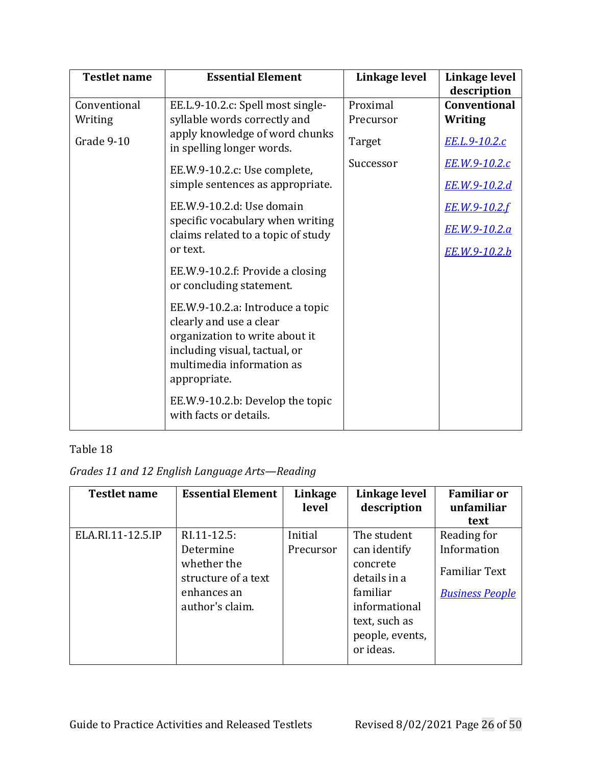| <b>Testlet name</b> | <b>Essential Element</b>                                                                                                                                                    | Linkage level | Linkage level<br>description |
|---------------------|-----------------------------------------------------------------------------------------------------------------------------------------------------------------------------|---------------|------------------------------|
| Conventional        | EE.L.9-10.2.c: Spell most single-                                                                                                                                           | Proximal      | <b>Conventional</b>          |
| Writing             | syllable words correctly and                                                                                                                                                | Precursor     | <b>Writing</b>               |
| Grade 9-10          | apply knowledge of word chunks<br>in spelling longer words.                                                                                                                 | Target        | <u>EE.L.9-10.2.c</u>         |
|                     | EE.W.9-10.2.c: Use complete,<br>simple sentences as appropriate.                                                                                                            | Successor     | <u>EE.W.9-10.2.c</u>         |
|                     |                                                                                                                                                                             |               | <u>EE.W.9-10.2.d</u>         |
|                     | EE.W.9-10.2.d: Use domain                                                                                                                                                   |               | EE.W.9-10.2.f                |
|                     | specific vocabulary when writing<br>claims related to a topic of study                                                                                                      |               | EE.W.9-10.2.a                |
|                     | or text.                                                                                                                                                                    |               | <u>EE.W.9-10.2.b</u>         |
|                     | EE.W.9-10.2.f: Provide a closing<br>or concluding statement.                                                                                                                |               |                              |
|                     | EE.W.9-10.2.a: Introduce a topic<br>clearly and use a clear<br>organization to write about it<br>including visual, tactual, or<br>multimedia information as<br>appropriate. |               |                              |
|                     | EE.W.9-10.2.b: Develop the topic<br>with facts or details.                                                                                                                  |               |                              |

*Grades 11 and 12 English Language Arts—Reading*

| <b>Testlet name</b> | <b>Essential Element</b>                                                                         | Linkage<br>level     | Linkage level<br>description                                                                                                          | <b>Familiar or</b><br>unfamiliar<br>text                                     |
|---------------------|--------------------------------------------------------------------------------------------------|----------------------|---------------------------------------------------------------------------------------------------------------------------------------|------------------------------------------------------------------------------|
| ELA.RI.11-12.5.IP   | RI.11-12.5:<br>Determine<br>whether the<br>structure of a text<br>enhances an<br>author's claim. | Initial<br>Precursor | The student<br>can identify<br>concrete<br>details in a<br>familiar<br>informational<br>text, such as<br>people, events,<br>or ideas. | Reading for<br>Information<br><b>Familiar Text</b><br><b>Business People</b> |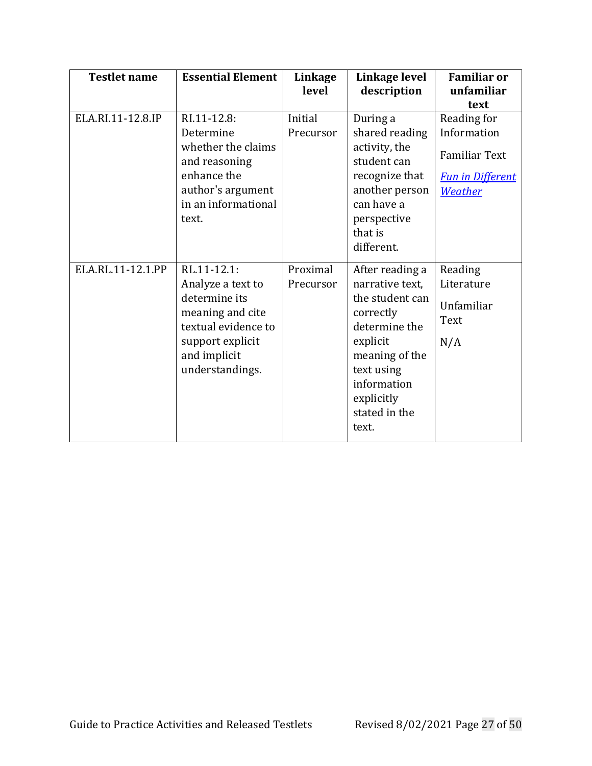| <b>Testlet name</b> | <b>Essential Element</b>                                                                                                                            | Linkage<br>level      | Linkage level<br>description                                                                                                                                                           | <b>Familiar or</b><br>unfamiliar<br>text                                                 |
|---------------------|-----------------------------------------------------------------------------------------------------------------------------------------------------|-----------------------|----------------------------------------------------------------------------------------------------------------------------------------------------------------------------------------|------------------------------------------------------------------------------------------|
| ELA.RI.11-12.8.IP   | RI.11-12.8:<br>Determine<br>whether the claims<br>and reasoning<br>enhance the<br>author's argument<br>in an informational<br>text.                 | Initial<br>Precursor  | During a<br>shared reading<br>activity, the<br>student can<br>recognize that<br>another person<br>can have a<br>perspective<br>that is<br>different.                                   | Reading for<br>Information<br><b>Familiar Text</b><br><b>Fun in Different</b><br>Weather |
| ELA.RL.11-12.1.PP   | RL.11-12.1:<br>Analyze a text to<br>determine its<br>meaning and cite<br>textual evidence to<br>support explicit<br>and implicit<br>understandings. | Proximal<br>Precursor | After reading a<br>narrative text,<br>the student can<br>correctly<br>determine the<br>explicit<br>meaning of the<br>text using<br>information<br>explicitly<br>stated in the<br>text. | Reading<br>Literature<br>Unfamiliar<br>Text<br>N/A                                       |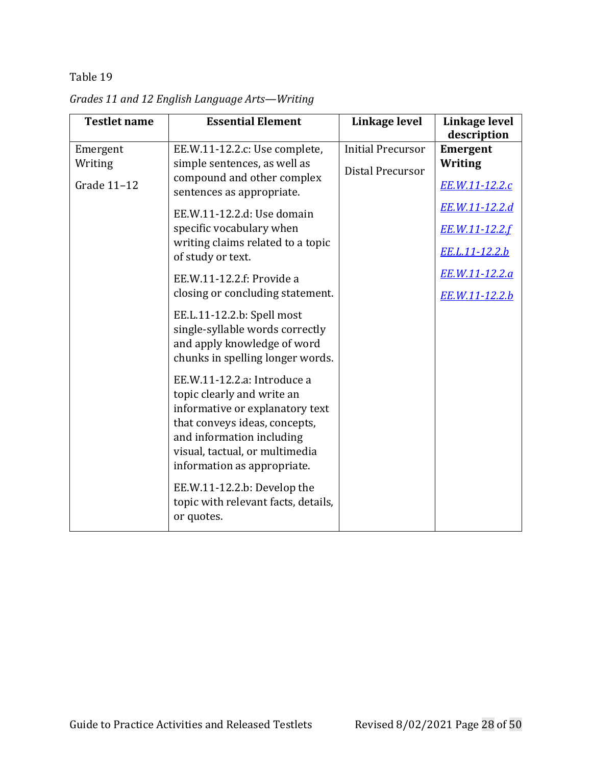| <b>Testlet name</b>                | <b>Essential Element</b>                                                                                                                                                                                                                                                                                                                                                                                                                            | Linkage level                                       | Linkage level                                                                                                                                                              |
|------------------------------------|-----------------------------------------------------------------------------------------------------------------------------------------------------------------------------------------------------------------------------------------------------------------------------------------------------------------------------------------------------------------------------------------------------------------------------------------------------|-----------------------------------------------------|----------------------------------------------------------------------------------------------------------------------------------------------------------------------------|
| Emergent<br>Writing<br>Grade 11-12 | EE.W.11-12.2.c: Use complete,<br>simple sentences, as well as<br>compound and other complex<br>sentences as appropriate.<br>EE.W.11-12.2.d: Use domain<br>specific vocabulary when<br>writing claims related to a topic<br>of study or text.<br>EE.W.11-12.2.f: Provide a<br>closing or concluding statement.                                                                                                                                       | <b>Initial Precursor</b><br><b>Distal Precursor</b> | description<br><b>Emergent</b><br>Writing<br>EE.W.11-12.2.c<br><u>EE.W.11-12.2.d</u><br>EE.W.11-12.2.f<br><u>EE.L.11-12.2.b</u><br>EE.W.11-12.2.a<br><u>EE.W.11-12.2.b</u> |
|                                    | EE.L.11-12.2.b: Spell most<br>single-syllable words correctly<br>and apply knowledge of word<br>chunks in spelling longer words.<br>EE.W.11-12.2.a: Introduce a<br>topic clearly and write an<br>informative or explanatory text<br>that conveys ideas, concepts,<br>and information including<br>visual, tactual, or multimedia<br>information as appropriate.<br>EE.W.11-12.2.b: Develop the<br>topic with relevant facts, details,<br>or quotes. |                                                     |                                                                                                                                                                            |

<span id="page-27-0"></span>*Grades 11 and 12 English Language Arts—Writing*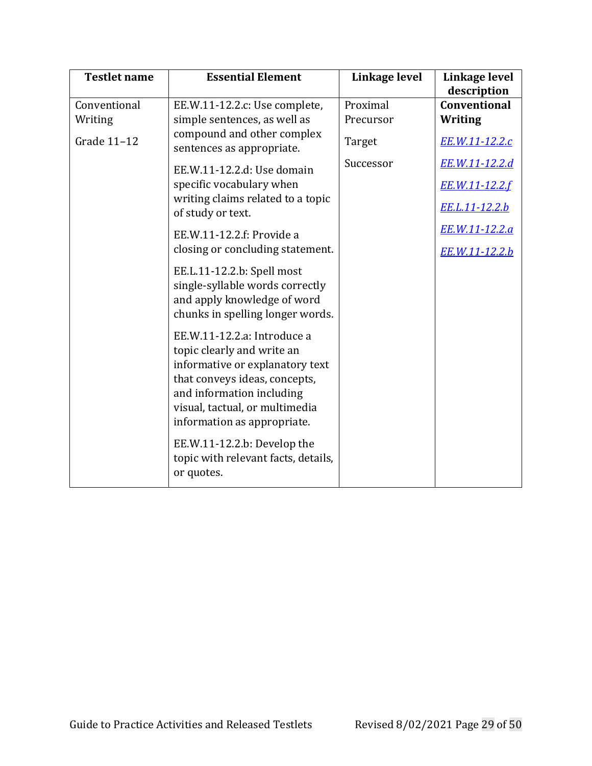| <b>Testlet name</b> | <b>Essential Element</b>                                                                                                                                                                                                    | Linkage level | Linkage level<br>description |
|---------------------|-----------------------------------------------------------------------------------------------------------------------------------------------------------------------------------------------------------------------------|---------------|------------------------------|
| Conventional        | EE.W.11-12.2.c: Use complete,                                                                                                                                                                                               | Proximal      | <b>Conventional</b>          |
| Writing             | simple sentences, as well as                                                                                                                                                                                                | Precursor     | <b>Writing</b>               |
| Grade 11-12         | compound and other complex<br>sentences as appropriate.                                                                                                                                                                     | Target        | EE.W.11-12.2.c               |
|                     | EE.W.11-12.2.d: Use domain                                                                                                                                                                                                  | Successor     | EE.W.11-12.2.d               |
|                     | specific vocabulary when<br>writing claims related to a topic                                                                                                                                                               |               | EE.W.11-12.2.f               |
|                     | of study or text.                                                                                                                                                                                                           |               | EE.L.11-12.2.b               |
|                     | EE.W.11-12.2.f: Provide a                                                                                                                                                                                                   |               | EE.W.11-12.2.a               |
|                     | closing or concluding statement.                                                                                                                                                                                            |               | EE.W.11-12.2.b               |
|                     | EE.L.11-12.2.b: Spell most<br>single-syllable words correctly<br>and apply knowledge of word<br>chunks in spelling longer words.                                                                                            |               |                              |
|                     | EE.W.11-12.2.a: Introduce a<br>topic clearly and write an<br>informative or explanatory text<br>that conveys ideas, concepts,<br>and information including<br>visual, tactual, or multimedia<br>information as appropriate. |               |                              |
|                     | EE.W.11-12.2.b: Develop the<br>topic with relevant facts, details,<br>or quotes.                                                                                                                                            |               |                              |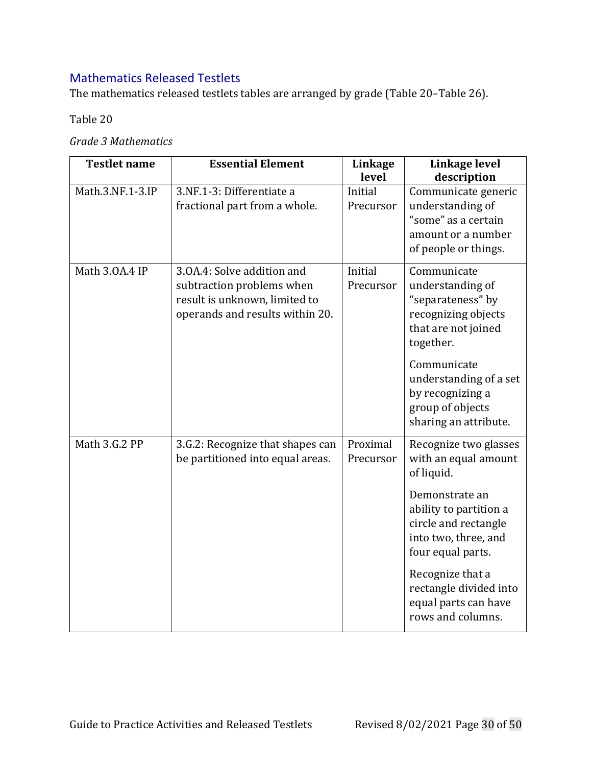# Mathematics Released Testlets

The mathematics released testlets tables are arranged by grade [\(Table](#page-29-0) 20[–Table](#page-40-0) 26).

<span id="page-29-0"></span>Table 20

*Grade 3 Mathematics*

| <b>Testlet name</b> | <b>Essential Element</b>                                                                                                    | Linkage<br>level      | Linkage level<br>description                                                                                                                                                                                                                                            |
|---------------------|-----------------------------------------------------------------------------------------------------------------------------|-----------------------|-------------------------------------------------------------------------------------------------------------------------------------------------------------------------------------------------------------------------------------------------------------------------|
| Math.3.NF.1-3.IP    | 3.NF.1-3: Differentiate a<br>fractional part from a whole.                                                                  | Initial<br>Precursor  | Communicate generic<br>understanding of<br>"some" as a certain<br>amount or a number<br>of people or things.                                                                                                                                                            |
| Math 3.0A.4 IP      | 3.0A.4: Solve addition and<br>subtraction problems when<br>result is unknown, limited to<br>operands and results within 20. | Initial<br>Precursor  | Communicate<br>understanding of<br>"separateness" by<br>recognizing objects<br>that are not joined<br>together.<br>Communicate<br>understanding of a set<br>by recognizing a<br>group of objects<br>sharing an attribute.                                               |
| Math 3.G.2 PP       | 3.G.2: Recognize that shapes can<br>be partitioned into equal areas.                                                        | Proximal<br>Precursor | Recognize two glasses<br>with an equal amount<br>of liquid.<br>Demonstrate an<br>ability to partition a<br>circle and rectangle<br>into two, three, and<br>four equal parts.<br>Recognize that a<br>rectangle divided into<br>equal parts can have<br>rows and columns. |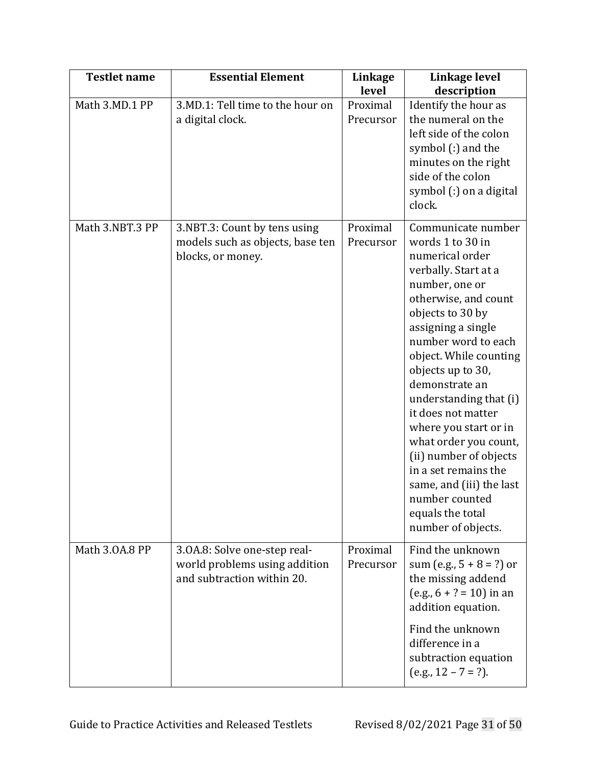| <b>Testlet name</b> | <b>Essential Element</b>                                                                    | Linkage<br>level      | Linkage level<br>description                                                                                                                                                                                                                                                                                                                                                                                                                                                                              |
|---------------------|---------------------------------------------------------------------------------------------|-----------------------|-----------------------------------------------------------------------------------------------------------------------------------------------------------------------------------------------------------------------------------------------------------------------------------------------------------------------------------------------------------------------------------------------------------------------------------------------------------------------------------------------------------|
| Math 3.MD.1 PP      | 3.MD.1: Tell time to the hour on<br>a digital clock.                                        | Proximal<br>Precursor | Identify the hour as<br>the numeral on the<br>left side of the colon<br>symbol (:) and the<br>minutes on the right<br>side of the colon<br>symbol (:) on a digital<br>clock.                                                                                                                                                                                                                                                                                                                              |
| Math 3.NBT.3 PP     | 3.NBT.3: Count by tens using<br>models such as objects, base ten<br>blocks, or money.       | Proximal<br>Precursor | Communicate number<br>words 1 to 30 in<br>numerical order<br>verbally. Start at a<br>number, one or<br>otherwise, and count<br>objects to 30 by<br>assigning a single<br>number word to each<br>object. While counting<br>objects up to 30,<br>demonstrate an<br>understanding that (i)<br>it does not matter<br>where you start or in<br>what order you count,<br>(ii) number of objects<br>in a set remains the<br>same, and (iii) the last<br>number counted<br>equals the total<br>number of objects. |
| Math 3.0A.8 PP      | 3.0A.8: Solve one-step real-<br>world problems using addition<br>and subtraction within 20. | Proximal<br>Precursor | Find the unknown<br>sum (e.g., $5 + 8 = ?$ ) or<br>the missing addend<br>$(e.g., 6 + ? = 10)$ in an<br>addition equation.<br>Find the unknown<br>difference in a<br>subtraction equation<br>$(e.g., 12 - 7 = ?).$                                                                                                                                                                                                                                                                                         |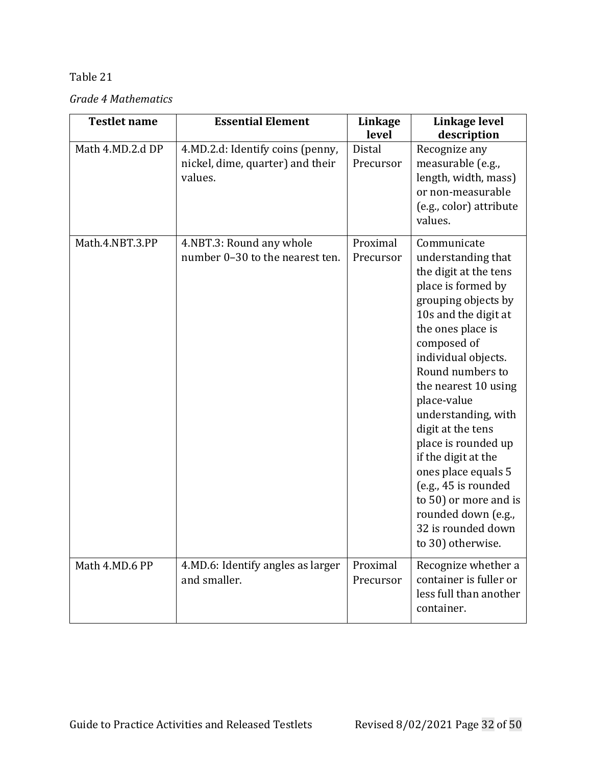*Grade 4 Mathematics*

| <b>Testlet name</b> | <b>Essential Element</b>                                                        | Linkage<br>level      | Linkage level<br>description                                                                                                                                                                                                                                                                                                                                                                                                                                                              |
|---------------------|---------------------------------------------------------------------------------|-----------------------|-------------------------------------------------------------------------------------------------------------------------------------------------------------------------------------------------------------------------------------------------------------------------------------------------------------------------------------------------------------------------------------------------------------------------------------------------------------------------------------------|
| Math 4.MD.2.d DP    | 4.MD.2.d: Identify coins (penny,<br>nickel, dime, quarter) and their<br>values. | Distal<br>Precursor   | Recognize any<br>measurable (e.g.,<br>length, width, mass)<br>or non-measurable<br>(e.g., color) attribute<br>values.                                                                                                                                                                                                                                                                                                                                                                     |
| Math.4.NBT.3.PP     | 4.NBT.3: Round any whole<br>number 0-30 to the nearest ten.                     | Proximal<br>Precursor | Communicate<br>understanding that<br>the digit at the tens<br>place is formed by<br>grouping objects by<br>10s and the digit at<br>the ones place is<br>composed of<br>individual objects.<br>Round numbers to<br>the nearest 10 using<br>place-value<br>understanding, with<br>digit at the tens<br>place is rounded up<br>if the digit at the<br>ones place equals 5<br>(e.g., 45 is rounded<br>to 50) or more and is<br>rounded down (e.g.,<br>32 is rounded down<br>to 30) otherwise. |
| Math 4.MD.6 PP      | 4.MD.6: Identify angles as larger<br>and smaller.                               | Proximal<br>Precursor | Recognize whether a<br>container is fuller or<br>less full than another<br>container.                                                                                                                                                                                                                                                                                                                                                                                                     |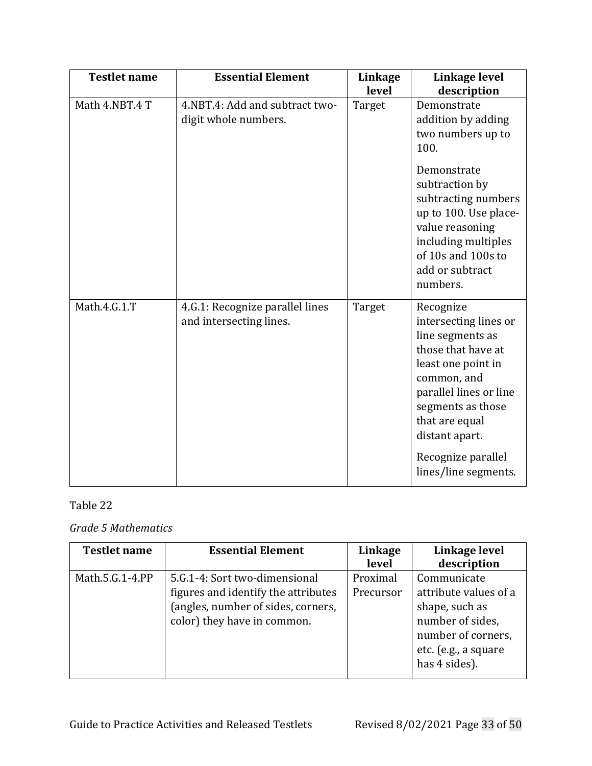| <b>Testlet name</b> | <b>Essential Element</b>                                   | Linkage<br>level | Linkage level<br>description                                                                                                                                                                                                                       |
|---------------------|------------------------------------------------------------|------------------|----------------------------------------------------------------------------------------------------------------------------------------------------------------------------------------------------------------------------------------------------|
| Math 4.NBT.4 T      | 4.NBT.4: Add and subtract two-<br>digit whole numbers.     | Target           | Demonstrate<br>addition by adding<br>two numbers up to<br>100.<br>Demonstrate<br>subtraction by<br>subtracting numbers<br>up to 100. Use place-<br>value reasoning<br>including multiples<br>of 10s and 100s to<br>add or subtract                 |
|                     |                                                            |                  | numbers.                                                                                                                                                                                                                                           |
| Math.4.G.1.T        | 4.G.1: Recognize parallel lines<br>and intersecting lines. | Target           | Recognize<br>intersecting lines or<br>line segments as<br>those that have at<br>least one point in<br>common, and<br>parallel lines or line<br>segments as those<br>that are equal<br>distant apart.<br>Recognize parallel<br>lines/line segments. |

# *Grade 5 Mathematics*

| <b>Testlet name</b> | <b>Essential Element</b>                                                                                                                  | Linkage<br>level      | Linkage level<br>description                                                                                                              |
|---------------------|-------------------------------------------------------------------------------------------------------------------------------------------|-----------------------|-------------------------------------------------------------------------------------------------------------------------------------------|
| Math.5.G.1-4.PP     | 5.G.1-4: Sort two-dimensional<br>figures and identify the attributes<br>(angles, number of sides, corners,<br>color) they have in common. | Proximal<br>Precursor | Communicate<br>attribute values of a<br>shape, such as<br>number of sides,<br>number of corners,<br>etc. (e.g., a square<br>has 4 sides). |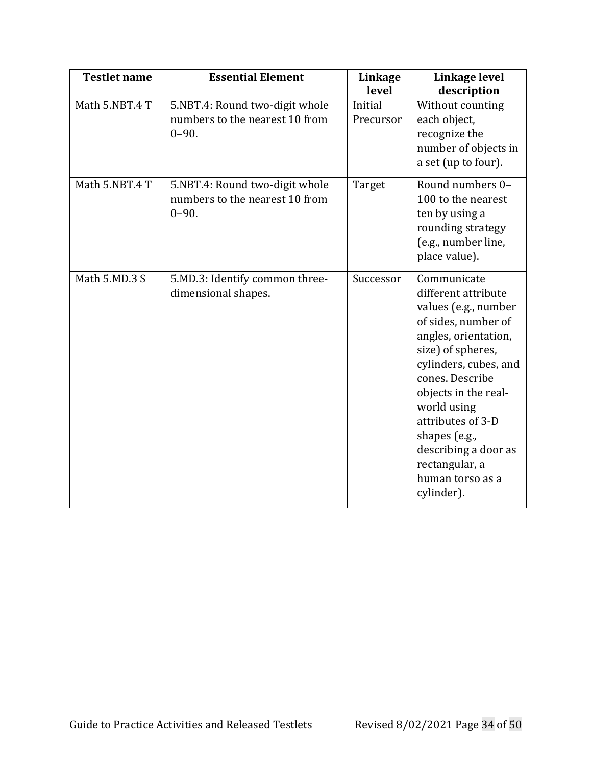| <b>Testlet name</b> | <b>Essential Element</b>                                                      | Linkage<br>level     | Linkage level<br>description                                                                                                                                                                                                                                                                                                        |
|---------------------|-------------------------------------------------------------------------------|----------------------|-------------------------------------------------------------------------------------------------------------------------------------------------------------------------------------------------------------------------------------------------------------------------------------------------------------------------------------|
| Math 5.NBT.4 T      | 5.NBT.4: Round two-digit whole<br>numbers to the nearest 10 from<br>$0 - 90.$ | Initial<br>Precursor | Without counting<br>each object,<br>recognize the<br>number of objects in<br>a set (up to four).                                                                                                                                                                                                                                    |
| Math 5.NBT.4 T      | 5.NBT.4: Round two-digit whole<br>numbers to the nearest 10 from<br>$0 - 90.$ | Target               | Round numbers 0-<br>100 to the nearest<br>ten by using a<br>rounding strategy<br>(e.g., number line,<br>place value).                                                                                                                                                                                                               |
| Math 5.MD.3 S       | 5.MD.3: Identify common three-<br>dimensional shapes.                         | Successor            | Communicate<br>different attribute<br>values (e.g., number<br>of sides, number of<br>angles, orientation,<br>size) of spheres,<br>cylinders, cubes, and<br>cones. Describe<br>objects in the real-<br>world using<br>attributes of 3-D<br>shapes (e.g.,<br>describing a door as<br>rectangular, a<br>human torso as a<br>cylinder). |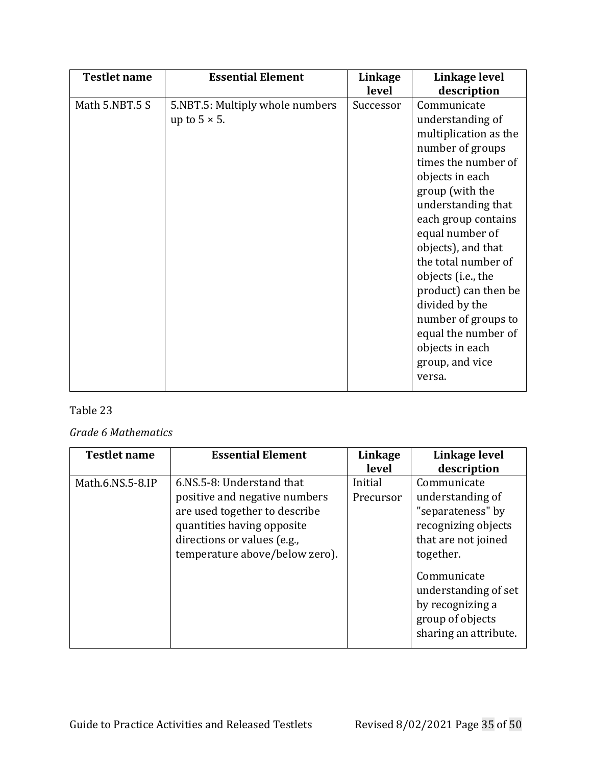| <b>Testlet name</b> | <b>Essential Element</b>                                | Linkage<br>level | Linkage level<br>description                                                                                                                                                                                                                                                                                                                                                                                         |
|---------------------|---------------------------------------------------------|------------------|----------------------------------------------------------------------------------------------------------------------------------------------------------------------------------------------------------------------------------------------------------------------------------------------------------------------------------------------------------------------------------------------------------------------|
| Math 5.NBT.5 S      | 5.NBT.5: Multiply whole numbers<br>up to $5 \times 5$ . | Successor        | Communicate<br>understanding of<br>multiplication as the<br>number of groups<br>times the number of<br>objects in each<br>group (with the<br>understanding that<br>each group contains<br>equal number of<br>objects), and that<br>the total number of<br>objects (i.e., the<br>product) can then be<br>divided by the<br>number of groups to<br>equal the number of<br>objects in each<br>group, and vice<br>versa. |

### *Grade 6 Mathematics*

| <b>Testlet name</b> | <b>Essential Element</b>                                                                                                                                                                   | Linkage<br>level     | Linkage level<br>description                                                                                                                                                                                            |
|---------------------|--------------------------------------------------------------------------------------------------------------------------------------------------------------------------------------------|----------------------|-------------------------------------------------------------------------------------------------------------------------------------------------------------------------------------------------------------------------|
| Math.6.NS.5-8.IP    | 6.NS.5-8: Understand that<br>positive and negative numbers<br>are used together to describe<br>quantities having opposite<br>directions or values (e.g.,<br>temperature above/below zero). | Initial<br>Precursor | Communicate<br>understanding of<br>"separateness" by<br>recognizing objects<br>that are not joined<br>together.<br>Communicate<br>understanding of set<br>by recognizing a<br>group of objects<br>sharing an attribute. |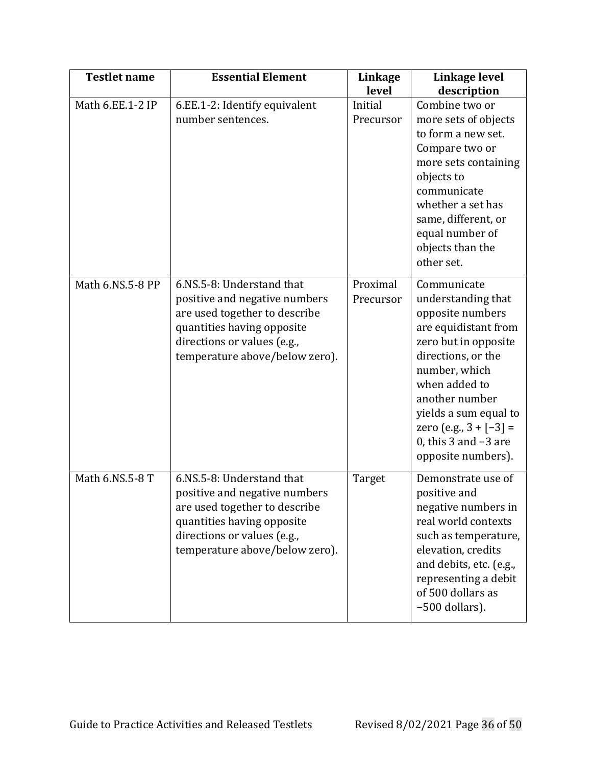| <b>Testlet name</b> | <b>Essential Element</b>                                                                                                                                                                   | Linkage<br>level      | Linkage level<br>description                                                                                                                                                                                                                                                           |
|---------------------|--------------------------------------------------------------------------------------------------------------------------------------------------------------------------------------------|-----------------------|----------------------------------------------------------------------------------------------------------------------------------------------------------------------------------------------------------------------------------------------------------------------------------------|
| Math 6.EE.1-2 IP    | 6.EE.1-2: Identify equivalent<br>number sentences.                                                                                                                                         | Initial<br>Precursor  | Combine two or<br>more sets of objects<br>to form a new set.<br>Compare two or<br>more sets containing<br>objects to<br>communicate<br>whether a set has<br>same, different, or<br>equal number of<br>objects than the<br>other set.                                                   |
| Math 6.NS.5-8 PP    | 6.NS.5-8: Understand that<br>positive and negative numbers<br>are used together to describe<br>quantities having opposite<br>directions or values (e.g.,<br>temperature above/below zero). | Proximal<br>Precursor | Communicate<br>understanding that<br>opposite numbers<br>are equidistant from<br>zero but in opposite<br>directions, or the<br>number, which<br>when added to<br>another number<br>yields a sum equal to<br>zero (e.g., $3 + [-3] =$<br>0, this $3$ and $-3$ are<br>opposite numbers). |
| Math 6.NS.5-8 T     | 6.NS.5-8: Understand that<br>positive and negative numbers<br>are used together to describe<br>quantities having opposite<br>directions or values (e.g.,<br>temperature above/below zero). | Target                | Demonstrate use of<br>positive and<br>negative numbers in<br>real world contexts<br>such as temperature,<br>elevation, credits<br>and debits, etc. (e.g.,<br>representing a debit<br>of 500 dollars as<br>-500 dollars).                                                               |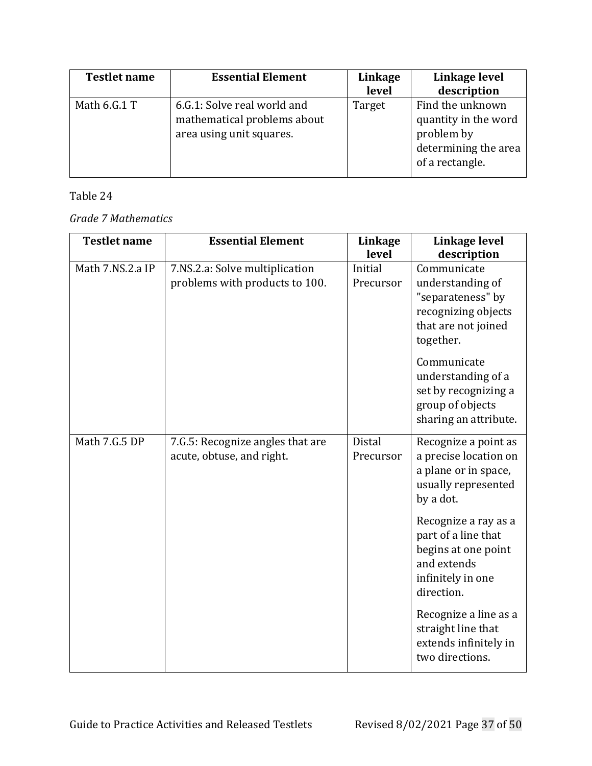| <b>Testlet name</b> | <b>Essential Element</b>                                                               | Linkage<br>level | Linkage level<br>description                                                                      |
|---------------------|----------------------------------------------------------------------------------------|------------------|---------------------------------------------------------------------------------------------------|
| Math 6.G.1 T        | 6.G.1: Solve real world and<br>mathematical problems about<br>area using unit squares. | Target           | Find the unknown<br>quantity in the word<br>problem by<br>determining the area<br>of a rectangle. |

# *Grade 7 Mathematics*

| <b>Testlet name</b> | <b>Essential Element</b>                                         | Linkage<br>level           | Linkage level<br>description                                                                                                                                                                     |
|---------------------|------------------------------------------------------------------|----------------------------|--------------------------------------------------------------------------------------------------------------------------------------------------------------------------------------------------|
| Math 7.NS.2.a IP    | 7.NS.2.a: Solve multiplication<br>problems with products to 100. | Initial<br>Precursor       | Communicate<br>understanding of<br>"separateness" by<br>recognizing objects<br>that are not joined<br>together.<br>Communicate<br>understanding of a<br>set by recognizing a<br>group of objects |
|                     |                                                                  |                            | sharing an attribute.                                                                                                                                                                            |
| Math 7.G.5 DP       | 7.G.5: Recognize angles that are<br>acute, obtuse, and right.    | <b>Distal</b><br>Precursor | Recognize a point as<br>a precise location on<br>a plane or in space,<br>usually represented<br>by a dot.                                                                                        |
|                     |                                                                  |                            | Recognize a ray as a<br>part of a line that<br>begins at one point<br>and extends<br>infinitely in one<br>direction.                                                                             |
|                     |                                                                  |                            | Recognize a line as a<br>straight line that<br>extends infinitely in<br>two directions.                                                                                                          |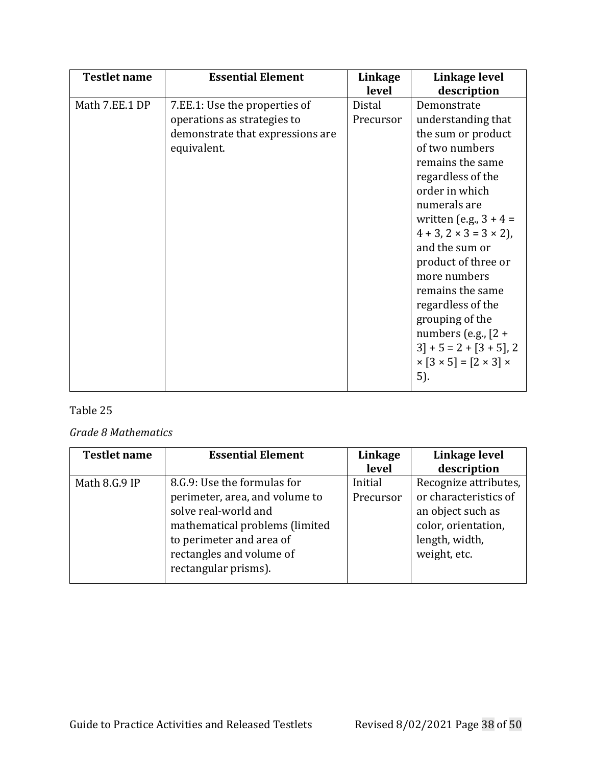| <b>Testlet name</b> | <b>Essential Element</b>                                                                                        | Linkage<br>level    | Linkage level<br>description                                                                                                                                                                                                                                                                                                                                                                                                                                     |
|---------------------|-----------------------------------------------------------------------------------------------------------------|---------------------|------------------------------------------------------------------------------------------------------------------------------------------------------------------------------------------------------------------------------------------------------------------------------------------------------------------------------------------------------------------------------------------------------------------------------------------------------------------|
| Math 7.EE.1 DP      | 7.EE.1: Use the properties of<br>operations as strategies to<br>demonstrate that expressions are<br>equivalent. | Distal<br>Precursor | Demonstrate<br>understanding that<br>the sum or product<br>of two numbers<br>remains the same<br>regardless of the<br>order in which<br>numerals are<br>written (e.g., $3 + 4 =$<br>$4 + 3$ , $2 \times 3 = 3 \times 2$ ),<br>and the sum or<br>product of three or<br>more numbers<br>remains the same<br>regardless of the<br>grouping of the<br>numbers (e.g., $[2 +$<br>$3$ + 5 = 2 + [3 + 5], 2<br>$\times$ [3 $\times$ 5] = [2 $\times$ 3] $\times$<br>5). |

### *Grade 8 Mathematics*

| <b>Testlet name</b> | <b>Essential Element</b>       | Linkage   | Linkage level         |
|---------------------|--------------------------------|-----------|-----------------------|
|                     |                                | level     | description           |
| Math 8.G.9 IP       | 8.G.9: Use the formulas for    | Initial   | Recognize attributes, |
|                     | perimeter, area, and volume to | Precursor | or characteristics of |
|                     | solve real-world and           |           | an object such as     |
|                     | mathematical problems (limited |           | color, orientation,   |
|                     | to perimeter and area of       |           | length, width,        |
|                     | rectangles and volume of       |           | weight, etc.          |
|                     | rectangular prisms).           |           |                       |
|                     |                                |           |                       |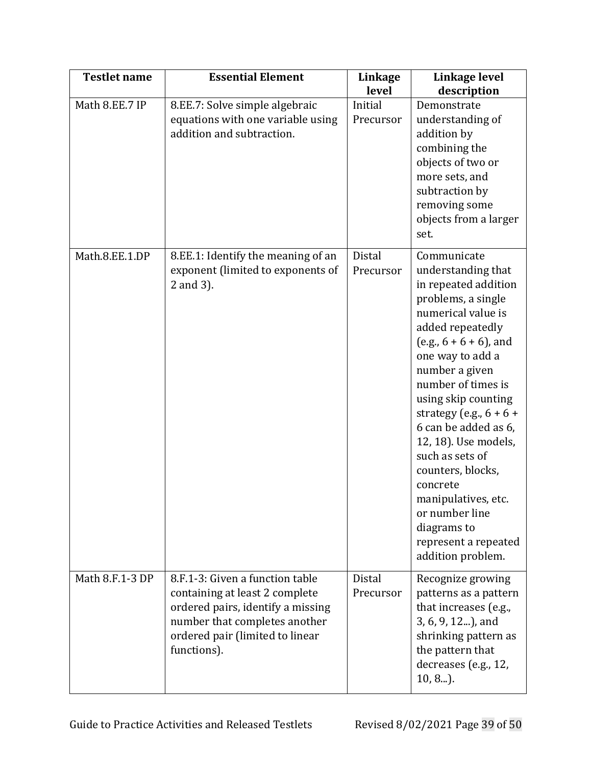| <b>Testlet name</b> | <b>Essential Element</b>                                                                                                                                                                  | Linkage<br>level           | Linkage level<br>description                                                                                                                                                                                                                                                                                                                                                                                                                                                    |
|---------------------|-------------------------------------------------------------------------------------------------------------------------------------------------------------------------------------------|----------------------------|---------------------------------------------------------------------------------------------------------------------------------------------------------------------------------------------------------------------------------------------------------------------------------------------------------------------------------------------------------------------------------------------------------------------------------------------------------------------------------|
| Math 8.EE.7 IP      | 8.EE.7: Solve simple algebraic<br>equations with one variable using<br>addition and subtraction.                                                                                          | Initial<br>Precursor       | Demonstrate<br>understanding of<br>addition by<br>combining the<br>objects of two or<br>more sets, and<br>subtraction by<br>removing some<br>objects from a larger<br>set.                                                                                                                                                                                                                                                                                                      |
| Math.8.EE.1.DP      | 8.EE.1: Identify the meaning of an<br>exponent (limited to exponents of<br>2 and 3).                                                                                                      | <b>Distal</b><br>Precursor | Communicate<br>understanding that<br>in repeated addition<br>problems, a single<br>numerical value is<br>added repeatedly<br>$(e.g., 6 + 6 + 6)$ , and<br>one way to add a<br>number a given<br>number of times is<br>using skip counting<br>strategy (e.g., $6 + 6 +$<br>6 can be added as 6,<br>12, 18). Use models,<br>such as sets of<br>counters, blocks,<br>concrete<br>manipulatives, etc.<br>or number line<br>diagrams to<br>represent a repeated<br>addition problem. |
| Math 8.F.1-3 DP     | 8.F.1-3: Given a function table<br>containing at least 2 complete<br>ordered pairs, identify a missing<br>number that completes another<br>ordered pair (limited to linear<br>functions). | Distal<br>Precursor        | Recognize growing<br>patterns as a pattern<br>that increases (e.g.,<br>3, 6, 9, 12), and<br>shrinking pattern as<br>the pattern that<br>decreases (e.g., 12,<br>$10, 8$ ).                                                                                                                                                                                                                                                                                                      |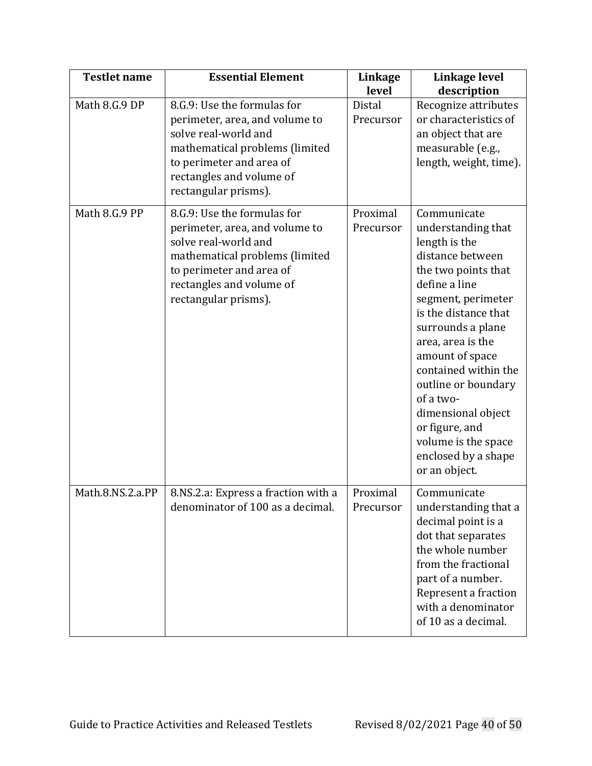| <b>Testlet name</b> | <b>Essential Element</b>                                                                                                                                                                                | Linkage<br>level           | Linkage level<br>description                                                                                                                                                                                                                                                                                                                                                                 |
|---------------------|---------------------------------------------------------------------------------------------------------------------------------------------------------------------------------------------------------|----------------------------|----------------------------------------------------------------------------------------------------------------------------------------------------------------------------------------------------------------------------------------------------------------------------------------------------------------------------------------------------------------------------------------------|
| Math 8.G.9 DP       | 8.G.9: Use the formulas for<br>perimeter, area, and volume to<br>solve real-world and<br>mathematical problems (limited<br>to perimeter and area of<br>rectangles and volume of<br>rectangular prisms). | <b>Distal</b><br>Precursor | Recognize attributes<br>or characteristics of<br>an object that are<br>measurable (e.g.,<br>length, weight, time).                                                                                                                                                                                                                                                                           |
| Math 8.G.9 PP       | 8.G.9: Use the formulas for<br>perimeter, area, and volume to<br>solve real-world and<br>mathematical problems (limited<br>to perimeter and area of<br>rectangles and volume of<br>rectangular prisms). | Proximal<br>Precursor      | Communicate<br>understanding that<br>length is the<br>distance between<br>the two points that<br>define a line<br>segment, perimeter<br>is the distance that<br>surrounds a plane<br>area, area is the<br>amount of space<br>contained within the<br>outline or boundary<br>of a two-<br>dimensional object<br>or figure, and<br>volume is the space<br>enclosed by a shape<br>or an object. |
| Math.8.NS.2.a.PP    | 8.NS.2.a: Express a fraction with a<br>denominator of 100 as a decimal.                                                                                                                                 | Proximal<br>Precursor      | Communicate<br>understanding that a<br>decimal point is a<br>dot that separates<br>the whole number<br>from the fractional<br>part of a number.<br>Represent a fraction<br>with a denominator<br>of 10 as a decimal.                                                                                                                                                                         |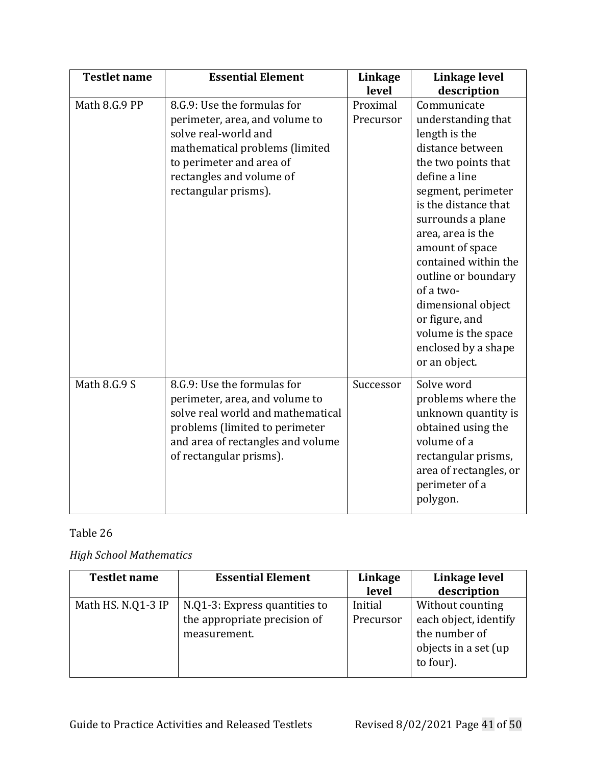| <b>Testlet name</b> | <b>Essential Element</b>                                                                                                                                                                                | Linkage<br>level      | Linkage level<br>description                                                                                                                                                                                                                                                                                                                                                                 |
|---------------------|---------------------------------------------------------------------------------------------------------------------------------------------------------------------------------------------------------|-----------------------|----------------------------------------------------------------------------------------------------------------------------------------------------------------------------------------------------------------------------------------------------------------------------------------------------------------------------------------------------------------------------------------------|
| Math 8.G.9 PP       | 8.G.9: Use the formulas for<br>perimeter, area, and volume to<br>solve real-world and<br>mathematical problems (limited<br>to perimeter and area of<br>rectangles and volume of<br>rectangular prisms). | Proximal<br>Precursor | Communicate<br>understanding that<br>length is the<br>distance between<br>the two points that<br>define a line<br>segment, perimeter<br>is the distance that<br>surrounds a plane<br>area, area is the<br>amount of space<br>contained within the<br>outline or boundary<br>of a two-<br>dimensional object<br>or figure, and<br>volume is the space<br>enclosed by a shape<br>or an object. |
| Math 8.G.9 S        | 8.G.9: Use the formulas for<br>perimeter, area, and volume to<br>solve real world and mathematical<br>problems (limited to perimeter<br>and area of rectangles and volume<br>of rectangular prisms).    | Successor             | Solve word<br>problems where the<br>unknown quantity is<br>obtained using the<br>volume of a<br>rectangular prisms,<br>area of rectangles, or<br>perimeter of a<br>polygon.                                                                                                                                                                                                                  |

# <span id="page-40-0"></span>*High School Mathematics*

| <b>Testlet name</b> | <b>Essential Element</b>                                                      | Linkage<br>level     | Linkage level<br>description                                                                    |
|---------------------|-------------------------------------------------------------------------------|----------------------|-------------------------------------------------------------------------------------------------|
| Math HS. N.Q1-3 IP  | N.Q1-3: Express quantities to<br>the appropriate precision of<br>measurement. | Initial<br>Precursor | Without counting<br>each object, identify<br>the number of<br>objects in a set (up<br>to four). |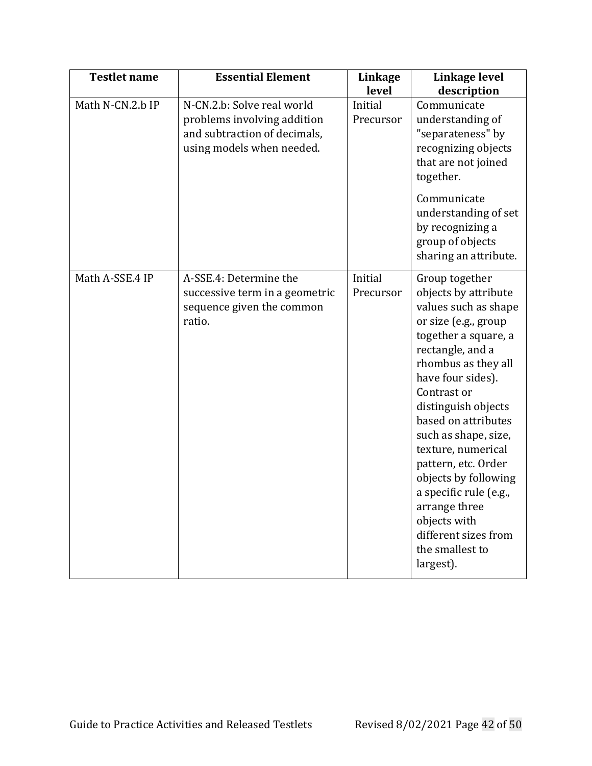| <b>Testlet name</b> | <b>Essential Element</b>                                                                                               | Linkage<br>level     | Linkage level<br>description                                                                                                                                                                                                                                                                                                                                                                                                                                |
|---------------------|------------------------------------------------------------------------------------------------------------------------|----------------------|-------------------------------------------------------------------------------------------------------------------------------------------------------------------------------------------------------------------------------------------------------------------------------------------------------------------------------------------------------------------------------------------------------------------------------------------------------------|
| Math N-CN.2.b IP    | N-CN.2.b: Solve real world<br>problems involving addition<br>and subtraction of decimals,<br>using models when needed. | Initial<br>Precursor | Communicate<br>understanding of<br>"separateness" by<br>recognizing objects<br>that are not joined<br>together.<br>Communicate<br>understanding of set<br>by recognizing a<br>group of objects<br>sharing an attribute.                                                                                                                                                                                                                                     |
| Math A-SSE.4 IP     | A-SSE.4: Determine the<br>successive term in a geometric<br>sequence given the common<br>ratio.                        | Initial<br>Precursor | Group together<br>objects by attribute<br>values such as shape<br>or size (e.g., group<br>together a square, a<br>rectangle, and a<br>rhombus as they all<br>have four sides).<br>Contrast or<br>distinguish objects<br>based on attributes<br>such as shape, size,<br>texture, numerical<br>pattern, etc. Order<br>objects by following<br>a specific rule (e.g.,<br>arrange three<br>objects with<br>different sizes from<br>the smallest to<br>largest). |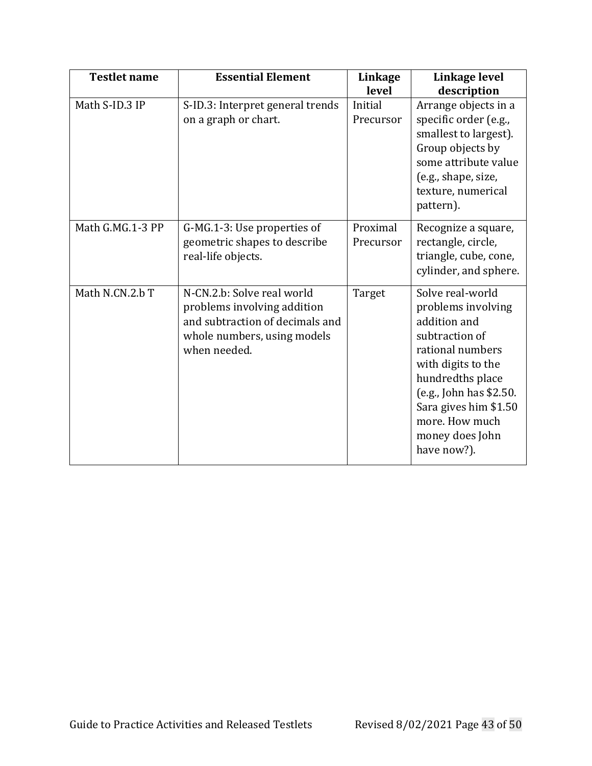| <b>Testlet name</b> | <b>Essential Element</b>                                                                                                                    | Linkage<br>level      | Linkage level<br>description                                                                                                                                                                                                                   |
|---------------------|---------------------------------------------------------------------------------------------------------------------------------------------|-----------------------|------------------------------------------------------------------------------------------------------------------------------------------------------------------------------------------------------------------------------------------------|
| Math S-ID.3 IP      | S-ID.3: Interpret general trends<br>on a graph or chart.                                                                                    | Initial<br>Precursor  | Arrange objects in a<br>specific order (e.g.,<br>smallest to largest).<br>Group objects by<br>some attribute value<br>(e.g., shape, size,<br>texture, numerical<br>pattern).                                                                   |
| Math G.MG.1-3 PP    | G-MG.1-3: Use properties of<br>geometric shapes to describe<br>real-life objects.                                                           | Proximal<br>Precursor | Recognize a square,<br>rectangle, circle,<br>triangle, cube, cone,<br>cylinder, and sphere.                                                                                                                                                    |
| Math N.CN.2.b T     | N-CN.2.b: Solve real world<br>problems involving addition<br>and subtraction of decimals and<br>whole numbers, using models<br>when needed. | Target                | Solve real-world<br>problems involving<br>addition and<br>subtraction of<br>rational numbers<br>with digits to the<br>hundredths place<br>(e.g., John has \$2.50.<br>Sara gives him \$1.50<br>more. How much<br>money does John<br>have now?). |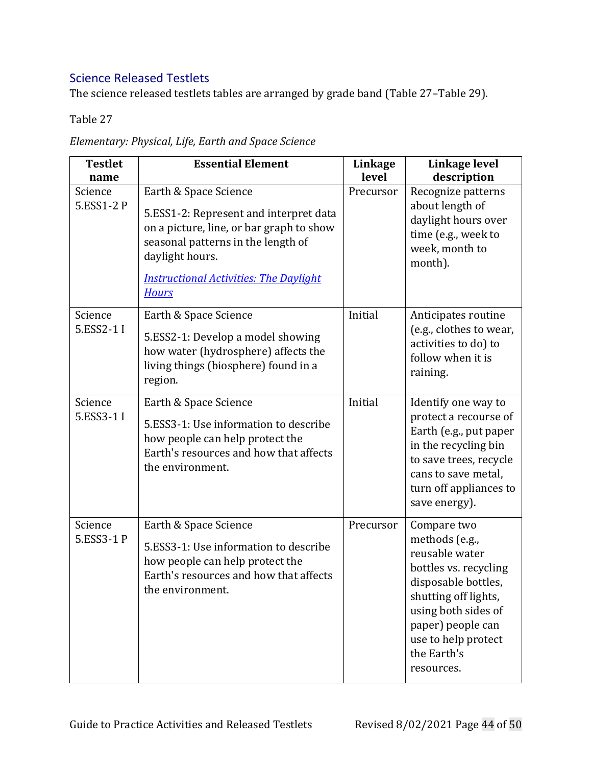# Science Released Testlets

<span id="page-43-0"></span>The science released testlets tables are arranged by grade band [\(Table](#page-43-0) 27[–Table](#page-47-0) 29).

| <b>Testlet</b><br>name | <b>Essential Element</b>                                                                                                                                                                                                              | Linkage<br>level | Linkage level<br>description                                                                                                                                                                                            |
|------------------------|---------------------------------------------------------------------------------------------------------------------------------------------------------------------------------------------------------------------------------------|------------------|-------------------------------------------------------------------------------------------------------------------------------------------------------------------------------------------------------------------------|
| Science<br>5.ESS1-2 P  | Earth & Space Science<br>5.ESS1-2: Represent and interpret data<br>on a picture, line, or bar graph to show<br>seasonal patterns in the length of<br>daylight hours.<br><b>Instructional Activities: The Daylight</b><br><b>Hours</b> | Precursor        | Recognize patterns<br>about length of<br>daylight hours over<br>time (e.g., week to<br>week, month to<br>month).                                                                                                        |
| Science<br>5.ESS2-1 I  | Earth & Space Science<br>5.ESS2-1: Develop a model showing<br>how water (hydrosphere) affects the<br>living things (biosphere) found in a<br>region.                                                                                  | Initial          | Anticipates routine<br>(e.g., clothes to wear,<br>activities to do) to<br>follow when it is<br>raining.                                                                                                                 |
| Science<br>5.ESS3-1 I  | Earth & Space Science<br>5.ESS3-1: Use information to describe<br>how people can help protect the<br>Earth's resources and how that affects<br>the environment.                                                                       | Initial          | Identify one way to<br>protect a recourse of<br>Earth (e.g., put paper<br>in the recycling bin<br>to save trees, recycle<br>cans to save metal,<br>turn off appliances to<br>save energy).                              |
| Science<br>5.ESS3-1 P  | Earth & Space Science<br>5.ESS3-1: Use information to describe<br>how people can help protect the<br>Earth's resources and how that affects<br>the environment.                                                                       | Precursor        | Compare two<br>methods (e.g.,<br>reusable water<br>bottles vs. recycling<br>disposable bottles,<br>shutting off lights,<br>using both sides of<br>paper) people can<br>use to help protect<br>the Earth's<br>resources. |

*Elementary: Physical, Life, Earth and Space Science*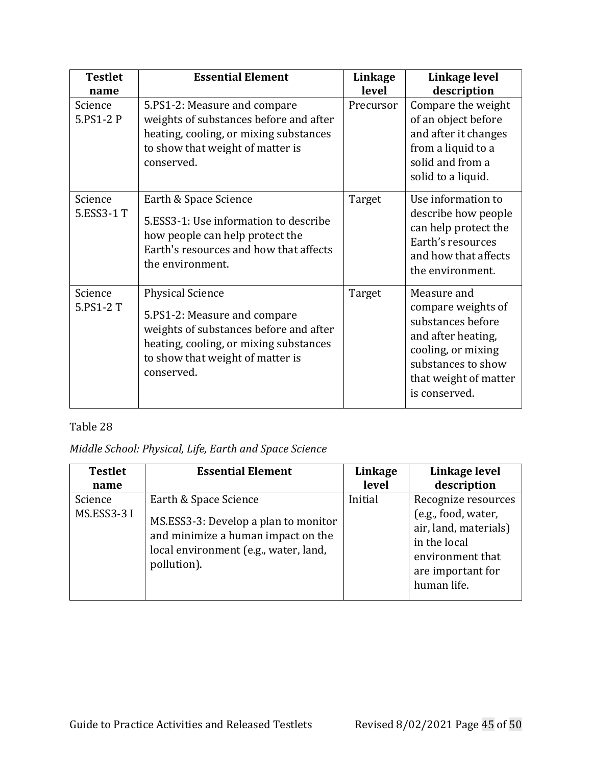| <b>Testlet</b>        | <b>Essential Element</b>                                                                                                                                                                      | Linkage   | Linkage level                                                                                                                                                      |
|-----------------------|-----------------------------------------------------------------------------------------------------------------------------------------------------------------------------------------------|-----------|--------------------------------------------------------------------------------------------------------------------------------------------------------------------|
| name                  |                                                                                                                                                                                               | level     | description                                                                                                                                                        |
| Science<br>5.PS1-2 P  | 5.PS1-2: Measure and compare<br>weights of substances before and after<br>heating, cooling, or mixing substances<br>to show that weight of matter is<br>conserved.                            | Precursor | Compare the weight<br>of an object before<br>and after it changes<br>from a liquid to a<br>solid and from a<br>solid to a liquid.                                  |
| Science<br>5.ESS3-1 T | Earth & Space Science<br>5.ESS3-1: Use information to describe<br>how people can help protect the<br>Earth's resources and how that affects<br>the environment.                               | Target    | Use information to<br>describe how people<br>can help protect the<br>Earth's resources<br>and how that affects<br>the environment.                                 |
| Science<br>5.PS1-2 T  | <b>Physical Science</b><br>5.PS1-2: Measure and compare<br>weights of substances before and after<br>heating, cooling, or mixing substances<br>to show that weight of matter is<br>conserved. | Target    | Measure and<br>compare weights of<br>substances before<br>and after heating,<br>cooling, or mixing<br>substances to show<br>that weight of matter<br>is conserved. |

*Middle School: Physical, Life, Earth and Space Science*

| <b>Testlet</b>         | <b>Essential Element</b>                                                                                                                                    | Linkage | Linkage level                                                                                                                               |
|------------------------|-------------------------------------------------------------------------------------------------------------------------------------------------------------|---------|---------------------------------------------------------------------------------------------------------------------------------------------|
| name                   |                                                                                                                                                             | level   | description                                                                                                                                 |
| Science<br>MS.ESS3-3 I | Earth & Space Science<br>MS.ESS3-3: Develop a plan to monitor<br>and minimize a human impact on the<br>local environment (e.g., water, land,<br>pollution). | Initial | Recognize resources<br>(e.g., food, water,<br>air, land, materials)<br>in the local<br>environment that<br>are important for<br>human life. |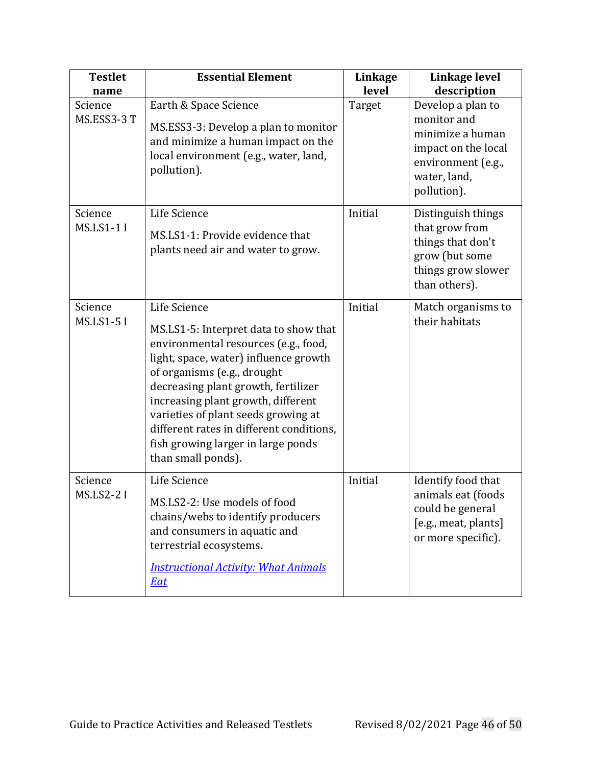| <b>Testlet</b><br>name       | <b>Essential Element</b>                                                                                                                                                                                                                                                                                                                                                                          | Linkage<br>level | Linkage level<br>description                                                                                                     |
|------------------------------|---------------------------------------------------------------------------------------------------------------------------------------------------------------------------------------------------------------------------------------------------------------------------------------------------------------------------------------------------------------------------------------------------|------------------|----------------------------------------------------------------------------------------------------------------------------------|
| Science<br>MS.ESS3-3 T       | Earth & Space Science<br>MS.ESS3-3: Develop a plan to monitor<br>and minimize a human impact on the<br>local environment (e.g., water, land,<br>pollution).                                                                                                                                                                                                                                       | Target           | Develop a plan to<br>monitor and<br>minimize a human<br>impact on the local<br>environment (e.g.,<br>water, land,<br>pollution). |
| Science<br><b>MS.LS1-1 I</b> | Life Science<br>MS.LS1-1: Provide evidence that<br>plants need air and water to grow.                                                                                                                                                                                                                                                                                                             | Initial          | Distinguish things<br>that grow from<br>things that don't<br>grow (but some<br>things grow slower<br>than others).               |
| Science<br><b>MS.LS1-5 I</b> | Life Science<br>MS.LS1-5: Interpret data to show that<br>environmental resources (e.g., food,<br>light, space, water) influence growth<br>of organisms (e.g., drought<br>decreasing plant growth, fertilizer<br>increasing plant growth, different<br>varieties of plant seeds growing at<br>different rates in different conditions,<br>fish growing larger in large ponds<br>than small ponds). | Initial          | Match organisms to<br>their habitats                                                                                             |
| Science<br><b>MS.LS2-2 I</b> | Life Science<br>MS.LS2-2: Use models of food<br>chains/webs to identify producers<br>and consumers in aquatic and<br>terrestrial ecosystems.<br><b>Instructional Activity: What Animals</b><br><b>Eat</b>                                                                                                                                                                                         | Initial          | Identify food that<br>animals eat (foods<br>could be general<br>[e.g., meat, plants]<br>or more specific).                       |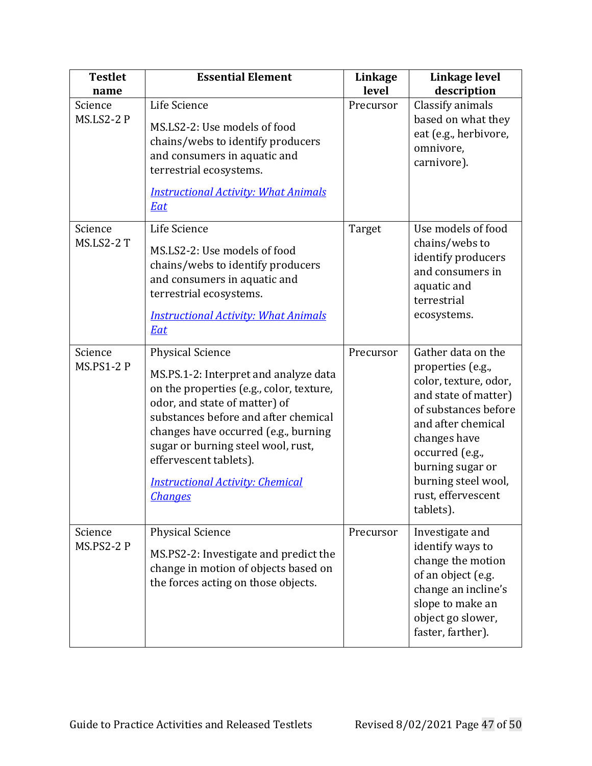| <b>Testlet</b><br>name       | <b>Essential Element</b>                                                                                                                                                                                                                                                                                                                                   | Linkage<br>level | Linkage level<br>description                                                                                                                                                                                                                            |
|------------------------------|------------------------------------------------------------------------------------------------------------------------------------------------------------------------------------------------------------------------------------------------------------------------------------------------------------------------------------------------------------|------------------|---------------------------------------------------------------------------------------------------------------------------------------------------------------------------------------------------------------------------------------------------------|
| Science<br><b>MS.LS2-2 P</b> | Life Science<br>MS.LS2-2: Use models of food<br>chains/webs to identify producers<br>and consumers in aquatic and<br>terrestrial ecosystems.<br><b>Instructional Activity: What Animals</b><br><b>Eat</b>                                                                                                                                                  | Precursor        | Classify animals<br>based on what they<br>eat (e.g., herbivore,<br>omnivore,<br>carnivore).                                                                                                                                                             |
| Science<br><b>MS.LS2-2 T</b> | Life Science<br>MS.LS2-2: Use models of food<br>chains/webs to identify producers<br>and consumers in aquatic and<br>terrestrial ecosystems.<br><b>Instructional Activity: What Animals</b><br><b>Eat</b>                                                                                                                                                  | Target           | Use models of food<br>chains/webs to<br>identify producers<br>and consumers in<br>aquatic and<br>terrestrial<br>ecosystems.                                                                                                                             |
| Science<br><b>MS.PS1-2 P</b> | <b>Physical Science</b><br>MS.PS.1-2: Interpret and analyze data<br>on the properties (e.g., color, texture,<br>odor, and state of matter) of<br>substances before and after chemical<br>changes have occurred (e.g., burning<br>sugar or burning steel wool, rust,<br>effervescent tablets).<br><b>Instructional Activity: Chemical</b><br><b>Changes</b> | Precursor        | Gather data on the<br>properties (e.g.,<br>color, texture, odor,<br>and state of matter)<br>of substances before<br>and after chemical<br>changes have<br>occurred (e.g.,<br>burning sugar or<br>burning steel wool,<br>rust, effervescent<br>tablets). |
| Science<br><b>MS.PS2-2 P</b> | <b>Physical Science</b><br>MS.PS2-2: Investigate and predict the<br>change in motion of objects based on<br>the forces acting on those objects.                                                                                                                                                                                                            | Precursor        | Investigate and<br>identify ways to<br>change the motion<br>of an object (e.g.<br>change an incline's<br>slope to make an<br>object go slower,<br>faster, farther).                                                                                     |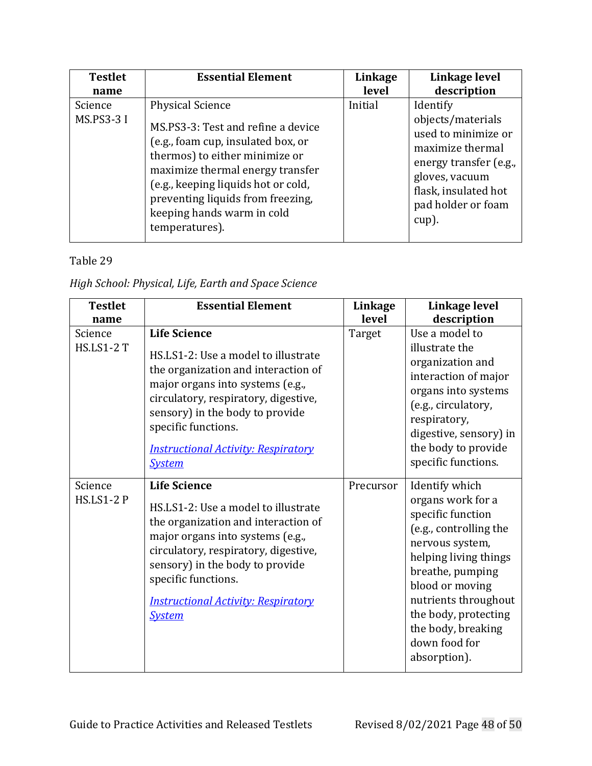| <b>Testlet</b>               | <b>Essential Element</b>                                                                                                                                                                                                                                                                              | Linkage | Linkage level                                                                                                                                                               |
|------------------------------|-------------------------------------------------------------------------------------------------------------------------------------------------------------------------------------------------------------------------------------------------------------------------------------------------------|---------|-----------------------------------------------------------------------------------------------------------------------------------------------------------------------------|
| name                         |                                                                                                                                                                                                                                                                                                       | level   | description                                                                                                                                                                 |
| Science<br><b>MS.PS3-3 I</b> | <b>Physical Science</b><br>MS.PS3-3: Test and refine a device<br>(e.g., foam cup, insulated box, or<br>thermos) to either minimize or<br>maximize thermal energy transfer<br>(e.g., keeping liquids hot or cold,<br>preventing liquids from freezing,<br>keeping hands warm in cold<br>temperatures). | Initial | Identify<br>objects/materials<br>used to minimize or<br>maximize thermal<br>energy transfer (e.g.,<br>gloves, vacuum<br>flask, insulated hot<br>pad holder or foam<br>cup). |

### <span id="page-47-0"></span>*High School: Physical, Life, Earth and Space Science*

| <b>Testlet</b>               | <b>Essential Element</b>                                                                                                                                                                                                                                                                               | <b>Linkage</b> | Linkage level                                                                                                                                                                                                                                                                |
|------------------------------|--------------------------------------------------------------------------------------------------------------------------------------------------------------------------------------------------------------------------------------------------------------------------------------------------------|----------------|------------------------------------------------------------------------------------------------------------------------------------------------------------------------------------------------------------------------------------------------------------------------------|
| name                         |                                                                                                                                                                                                                                                                                                        | level          | description                                                                                                                                                                                                                                                                  |
| Science<br><b>HS.LS1-2 T</b> | <b>Life Science</b><br>HS.LS1-2: Use a model to illustrate<br>the organization and interaction of<br>major organs into systems (e.g.,<br>circulatory, respiratory, digestive,<br>sensory) in the body to provide<br>specific functions.<br><b>Instructional Activity: Respiratory</b><br><b>System</b> | Target         | Use a model to<br>illustrate the<br>organization and<br>interaction of major<br>organs into systems<br>(e.g., circulatory,<br>respiratory,<br>digestive, sensory) in<br>the body to provide<br>specific functions.                                                           |
| Science<br><b>HS.LS1-2 P</b> | <b>Life Science</b><br>HS.LS1-2: Use a model to illustrate<br>the organization and interaction of<br>major organs into systems (e.g.,<br>circulatory, respiratory, digestive,<br>sensory) in the body to provide<br>specific functions.<br><b>Instructional Activity: Respiratory</b><br><b>System</b> | Precursor      | Identify which<br>organs work for a<br>specific function<br>(e.g., controlling the<br>nervous system,<br>helping living things<br>breathe, pumping<br>blood or moving<br>nutrients throughout<br>the body, protecting<br>the body, breaking<br>down food for<br>absorption). |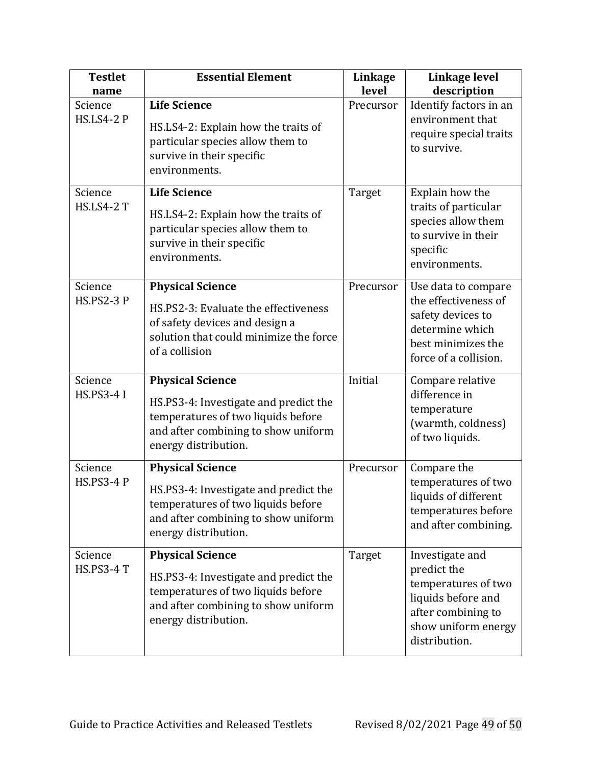| <b>Testlet</b><br>name       | <b>Essential Element</b>                                                                                                                                              | <b>Linkage</b><br>level | Linkage level<br>description                                                                                                              |
|------------------------------|-----------------------------------------------------------------------------------------------------------------------------------------------------------------------|-------------------------|-------------------------------------------------------------------------------------------------------------------------------------------|
| Science<br><b>HS.LS4-2 P</b> | <b>Life Science</b><br>HS.LS4-2: Explain how the traits of<br>particular species allow them to<br>survive in their specific<br>environments.                          | Precursor               | Identify factors in an<br>environment that<br>require special traits<br>to survive.                                                       |
| Science<br><b>HS.LS4-2 T</b> | <b>Life Science</b><br>HS.LS4-2: Explain how the traits of<br>particular species allow them to<br>survive in their specific<br>environments.                          | Target                  | Explain how the<br>traits of particular<br>species allow them<br>to survive in their<br>specific<br>environments.                         |
| Science<br><b>HS.PS2-3 P</b> | <b>Physical Science</b><br>HS.PS2-3: Evaluate the effectiveness<br>of safety devices and design a<br>solution that could minimize the force<br>of a collision         | Precursor               | Use data to compare<br>the effectiveness of<br>safety devices to<br>determine which<br>best minimizes the<br>force of a collision.        |
| Science<br><b>HS.PS3-4 I</b> | <b>Physical Science</b><br>HS.PS3-4: Investigate and predict the<br>temperatures of two liquids before<br>and after combining to show uniform<br>energy distribution. | Initial                 | Compare relative<br>difference in<br>temperature<br>(warmth, coldness)<br>of two liquids.                                                 |
| Science<br><b>HS.PS3-4 P</b> | <b>Physical Science</b><br>HS.PS3-4: Investigate and predict the<br>temperatures of two liquids before<br>and after combining to show uniform<br>energy distribution. | Precursor               | Compare the<br>temperatures of two<br>liquids of different<br>temperatures before<br>and after combining.                                 |
| Science<br><b>HS.PS3-4 T</b> | <b>Physical Science</b><br>HS.PS3-4: Investigate and predict the<br>temperatures of two liquids before<br>and after combining to show uniform<br>energy distribution. | Target                  | Investigate and<br>predict the<br>temperatures of two<br>liquids before and<br>after combining to<br>show uniform energy<br>distribution. |